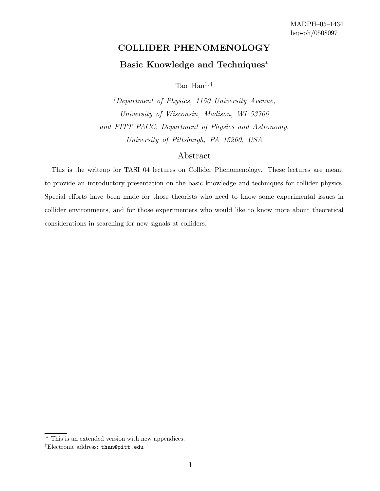# COLLIDER PHENOMENOLOGY

### Basic Knowledge and Techniques<sup>∗</sup>

Tao  $\text{Han}^{1, \dagger}$ 

<sup>1</sup>Department of Physics, 1150 University Avenue, University of Wisconsin, Madison, WI 53706 and PITT PACC, Department of Physics and Astronomy, University of Pittsburgh, PA 15260, USA

### Abstract

This is the writeup for TASI–04 lectures on Collider Phenomenology. These lectures are meant to provide an introductory presentation on the basic knowledge and techniques for collider physics. Special efforts have been made for those theorists who need to know some experimental issues in collider environments, and for those experimenters who would like to know more about theoretical considerations in searching for new signals at colliders.

<sup>∗</sup> This is an extended version with new appendices.

<sup>†</sup>Electronic address: than@pitt.edu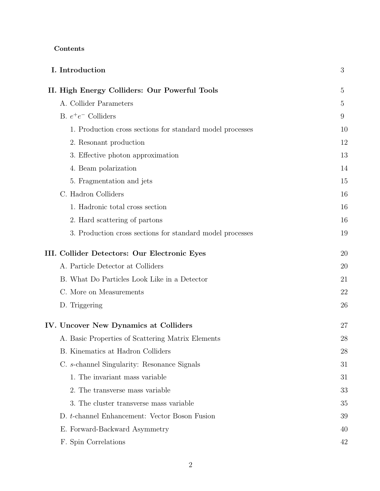| I. Introduction                                           | 3              |
|-----------------------------------------------------------|----------------|
| II. High Energy Colliders: Our Powerful Tools             | $\overline{5}$ |
| A. Collider Parameters                                    | $\overline{5}$ |
| B. $e^+e^-$ Colliders                                     | 9              |
| 1. Production cross sections for standard model processes | 10             |
| 2. Resonant production                                    | 12             |
| 3. Effective photon approximation                         | 13             |
| 4. Beam polarization                                      | 14             |
| 5. Fragmentation and jets                                 | 15             |
| C. Hadron Colliders                                       | 16             |
| 1. Hadronic total cross section                           | 16             |
| 2. Hard scattering of partons                             | 16             |
| 3. Production cross sections for standard model processes | 19             |
| III. Collider Detectors: Our Electronic Eyes              | 20             |
| A. Particle Detector at Colliders                         | 20             |
| B. What Do Particles Look Like in a Detector              | 21             |
| C. More on Measurements                                   | 22             |
| D. Triggering                                             | 26             |
| IV. Uncover New Dynamics at Colliders                     | 27             |
| A. Basic Properties of Scattering Matrix Elements         | 28             |
| B. Kinematics at Hadron Colliders                         | 28             |
| C. s-channel Singularity: Resonance Signals               | 31             |
| 1. The invariant mass variable                            | 31             |
| 2. The transverse mass variable                           | 33             |
| 3. The cluster transverse mass variable                   | 35             |
| D. t-channel Enhancement: Vector Boson Fusion             | 39             |
| E. Forward-Backward Asymmetry                             | 40             |
| F. Spin Correlations                                      | 42             |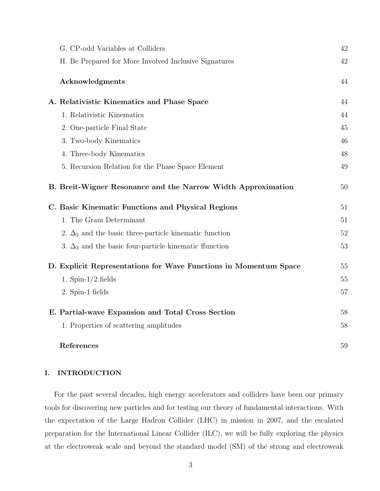| G. CP-odd Variables at Colliders                                 | 42 |
|------------------------------------------------------------------|----|
| H. Be Prepared for More Involved Inclusive Signatures            | 42 |
| Acknowledgments                                                  | 44 |
| A. Relativistic Kinematics and Phase Space                       | 44 |
| 1. Relativistic Kinematics                                       | 44 |
| 2. One-particle Final State                                      | 45 |
| 3. Two-body Kinematics                                           | 46 |
| 4. Three-body Kinematics                                         | 48 |
| 5. Recursion Relation for the Phase Space Element                | 49 |
| B. Breit-Wigner Resonance and the Narrow Width Approximation     | 50 |
| C. Basic Kinematic Functions and Physical Regions                | 51 |
| 1. The Gram Determinant                                          | 51 |
| 2. $\Delta_2$ and the basic three-particle kinematic function    | 52 |
| 3. $\Delta_3$ and the basic four-particle kinematic function     | 53 |
| D. Explicit Representations for Wave Functions in Momentum Space | 55 |
| 1. Spin- $1/2$ fields                                            | 55 |
| 2. Spin-1 fields                                                 | 57 |
| E. Partial-wave Expansion and Total Cross Section                | 58 |
| 1. Properties of scattering amplitudes                           | 58 |
| References                                                       | 59 |

### I. INTRODUCTION

For the past several decades, high energy accelerators and colliders have been our primary tools for discovering new particles and for testing our theory of fundamental interactions. With the expectation of the Large Hadron Collider (LHC) in mission in 2007, and the escalated preparation for the International Linear Collider (ILC), we will be fully exploring the physics at the electroweak scale and beyond the standard model (SM) of the strong and electroweak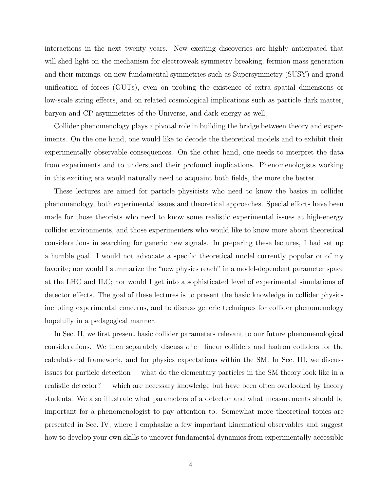interactions in the next twenty years. New exciting discoveries are highly anticipated that will shed light on the mechanism for electroweak symmetry breaking, fermion mass generation and their mixings, on new fundamental symmetries such as Supersymmetry (SUSY) and grand unification of forces (GUTs), even on probing the existence of extra spatial dimensions or low-scale string effects, and on related cosmological implications such as particle dark matter, baryon and CP asymmetries of the Universe, and dark energy as well.

Collider phenomenology plays a pivotal role in building the bridge between theory and experiments. On the one hand, one would like to decode the theoretical models and to exhibit their experimentally observable consequences. On the other hand, one needs to interpret the data from experiments and to understand their profound implications. Phenomenologists working in this exciting era would naturally need to acquaint both fields, the more the better.

These lectures are aimed for particle physicists who need to know the basics in collider phenomenology, both experimental issues and theoretical approaches. Special efforts have been made for those theorists who need to know some realistic experimental issues at high-energy collider environments, and those experimenters who would like to know more about theoretical considerations in searching for generic new signals. In preparing these lectures, I had set up a humble goal. I would not advocate a specific theoretical model currently popular or of my favorite; nor would I summarize the "new physics reach" in a model-dependent parameter space at the LHC and ILC; nor would I get into a sophisticated level of experimental simulations of detector effects. The goal of these lectures is to present the basic knowledge in collider physics including experimental concerns, and to discuss generic techniques for collider phenomenology hopefully in a pedagogical manner.

In Sec. II, we first present basic collider parameters relevant to our future phenomenological considerations. We then separately discuss  $e^+e^-$  linear colliders and hadron colliders for the calculational framework, and for physics expectations within the SM. In Sec. III, we discuss issues for particle detection − what do the elementary particles in the SM theory look like in a realistic detector? − which are necessary knowledge but have been often overlooked by theory students. We also illustrate what parameters of a detector and what measurements should be important for a phenomenologist to pay attention to. Somewhat more theoretical topics are presented in Sec. IV, where I emphasize a few important kinematical observables and suggest how to develop your own skills to uncover fundamental dynamics from experimentally accessible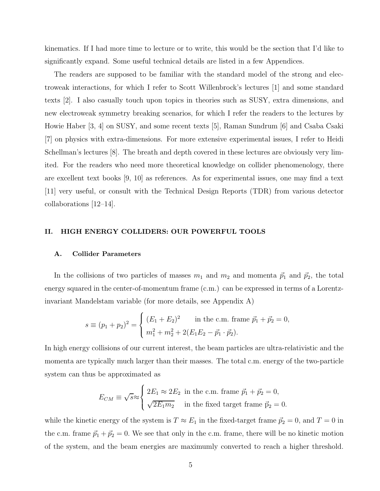kinematics. If I had more time to lecture or to write, this would be the section that I'd like to significantly expand. Some useful technical details are listed in a few Appendices.

The readers are supposed to be familiar with the standard model of the strong and electroweak interactions, for which I refer to Scott Willenbrock's lectures [1] and some standard texts [2]. I also casually touch upon topics in theories such as SUSY, extra dimensions, and new electroweak symmetry breaking scenarios, for which I refer the readers to the lectures by Howie Haber [3, 4] on SUSY, and some recent texts [5], Raman Sundrum [6] and Csaba Csaki [7] on physics with extra-dimensions. For more extensive experimental issues, I refer to Heidi Schellman's lectures [8]. The breath and depth covered in these lectures are obviously very limited. For the readers who need more theoretical knowledge on collider phenomenology, there are excellent text books [9, 10] as references. As for experimental issues, one may find a text [11] very useful, or consult with the Technical Design Reports (TDR) from various detector collaborations [12–14].

### II. HIGH ENERGY COLLIDERS: OUR POWERFUL TOOLS

### A. Collider Parameters

In the collisions of two particles of masses  $m_1$  and  $m_2$  and momenta  $\vec{p}_1$  and  $\vec{p}_2$ , the total energy squared in the center-of-momentum frame (c.m.) can be expressed in terms of a Lorentzinvariant Mandelstam variable (for more details, see Appendix A)

$$
s \equiv (p_1 + p_2)^2 = \begin{cases} (E_1 + E_2)^2 & \text{in the c.m. frame } \vec{p_1} + \vec{p_2} = 0, \\ m_1^2 + m_2^2 + 2(E_1 E_2 - \vec{p_1} \cdot \vec{p_2}). \end{cases}
$$

In high energy collisions of our current interest, the beam particles are ultra-relativistic and the momenta are typically much larger than their masses. The total c.m. energy of the two-particle system can thus be approximated as

$$
E_{CM} \equiv \sqrt{s} \approx \begin{cases} 2E_1 \approx 2E_2 \text{ in the c.m. frame } \vec{p_1} + \vec{p_2} = 0, \\ \sqrt{2E_1 m_2} \text{ in the fixed target frame } \vec{p_2} = 0. \end{cases}
$$

while the kinetic energy of the system is  $T \approx E_1$  in the fixed-target frame  $\vec{p}_2 = 0$ , and  $T = 0$  in the c.m. frame  $\vec{p}_1 + \vec{p}_2 = 0$ . We see that only in the c.m. frame, there will be no kinetic motion of the system, and the beam energies are maximumly converted to reach a higher threshold.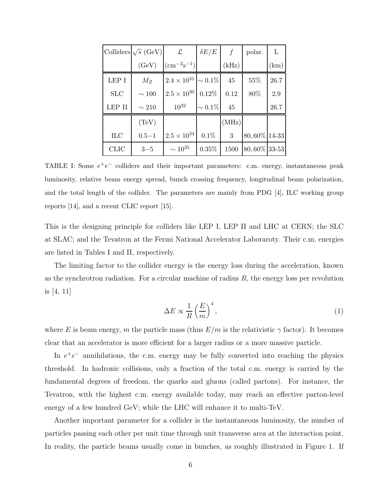|               | Colliders $\sqrt{s}$ (GeV) | $\mathcal{L}$               | $\delta E/E$ | $\boldsymbol{f}$ | polar.       | L    |
|---------------|----------------------------|-----------------------------|--------------|------------------|--------------|------|
|               | (GeV)                      | $\rm (cm^{-2}s^{-1})$       |              | (kHz)            |              | (km) |
| LEP I         | $M_Z$                      | $2.4 \times 10^{31}$ ~ 0.1% |              | 45               | 55\%         | 26.7 |
| <b>SLC</b>    | $\sim 100$                 | $2.5 \times 10^{30}$        | $0.12\%$     | 0.12             | 80%          | 2.9  |
| <b>LEP II</b> | $\sim 210$                 | $10^{32}$                   | $\sim 0.1\%$ | 45               |              | 26.7 |
|               | (TeV)                      |                             |              | (MHz)            |              |      |
| <b>ILC</b>    | $0.5 - 1$                  | $2.5 \times 10^{34}$        | $0.1\%$      | 3                | 80,60% 14-33 |      |
| <b>CLIC</b>   | $3 - 5$                    | $\sim 10^{35}$              | $0.35\%$     | 1500             | 80,60% 33-53 |      |

TABLE I: Some  $e^+e^-$  colliders and their important parameters: c.m. energy, instantaneous peak luminosity, relative beam energy spread, bunch crossing frequency, longitudinal beam polarization, and the total length of the collider. The parameters are mainly from PDG [4], ILC working group reports [14], and a recent CLIC report [15].

This is the designing principle for colliders like LEP I, LEP II and LHC at CERN; the SLC at SLAC; and the Tevatron at the Fermi National Accelerator Laboraroty. Their c.m. energies are listed in Tables I and II, respectively.

The limiting factor to the collider energy is the energy loss during the acceleration, known as the synchrotron radiation. For a circular machine of radius  $R$ , the energy loss per revolution is [4, 11]

$$
\Delta E \propto \frac{1}{R} \left(\frac{E}{m}\right)^4,\tag{1}
$$

where E is beam energy, m the particle mass (thus  $E/m$  is the relativistic  $\gamma$  factor). It becomes clear that an accelerator is more efficient for a larger radius or a more massive particle.

In  $e^+e^-$  annihilations, the c.m. energy may be fully converted into reaching the physics threshold. In hadronic collisions, only a fraction of the total c.m. energy is carried by the fundamental degrees of freedom, the quarks and gluons (called partons). For instance, the Tevatron, with the highest c.m. energy available today, may reach an effective parton-level energy of a few hundred GeV; while the LHC will enhance it to multi-TeV.

Another important parameter for a collider is the instantaneous luminosity, the number of particles passing each other per unit time through unit transverse area at the interaction point. In reality, the particle beams usually come in bunches, as roughly illustrated in Figure 1. If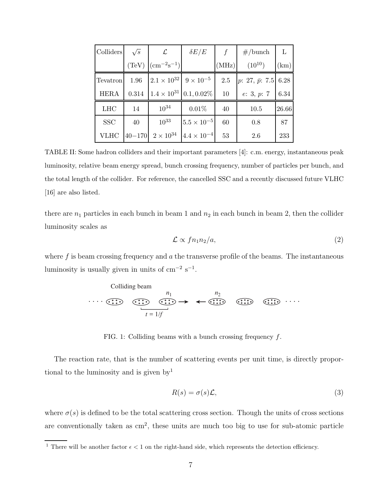| Colliders   | $\sqrt{s}$ | $\mathcal{L}$                           | $\delta E/E$                     | $\boldsymbol{f}$ | $\#$ /bunch                 | L     |
|-------------|------------|-----------------------------------------|----------------------------------|------------------|-----------------------------|-------|
|             |            | $(TeV)$ $(cm^{-2}s^{-1})$               |                                  | (MHz)            | $(10^{10})$                 | (km)  |
| Tevatron    | 1.96       | $2.1 \times 10^{32}$ $9 \times 10^{-5}$ |                                  | 2.5              | p: 27, $\bar{p}$ : 7.5 6.28 |       |
| <b>HERA</b> | 0.314      |                                         | $1.4 \times 10^{31}$ 0.1, 0.02\% | 10               | e: 3, p: 7                  | 6.34  |
| <b>LHC</b>  | 14         | $10^{34}$                               | $0.01\%$                         | 40               | 10.5                        | 26.66 |
| <b>SSC</b>  | 40         | $10^{33}$                               | $5.5 \times 10^{-5}$             | 60               | 0.8                         | 87    |
| <b>VLHC</b> |            | $40-170$ $2 \times 10^{34}$             | $4.4 \times 10^{-4}$             | 53               | 2.6                         | 233   |

TABLE II: Some hadron colliders and their important parameters [4]: c.m. energy, instantaneous peak luminosity, relative beam energy spread, bunch crossing frequency, number of particles per bunch, and the total length of the collider. For reference, the cancelled SSC and a recently discussed future VLHC [16] are also listed.

there are  $n_1$  particles in each bunch in beam 1 and  $n_2$  in each bunch in beam 2, then the collider luminosity scales as

$$
\mathcal{L} \propto f n_1 n_2 / a,\tag{2}
$$

where  $f$  is beam crossing frequency and  $a$  the transverse profile of the beams. The instantaneous luminosity is usually given in units of  $\text{cm}^{-2} \text{ s}^{-1}$ .

$$
\cdots \underbrace{\bullet \bullet \bullet}_{t=1/f} \underbrace{n_1}_{t=1/f} \longrightarrow \longleftarrow \underbrace{n_2}_{\underbrace{\bullet \bullet \bullet \bullet \bullet}_{t=1/f} \longrightarrow \underbrace{n_1}_{t=1/f} \underbrace{n_2}_{t=1/f} \underbrace{\bullet \bullet \bullet \bullet \bullet}_{t=1/f} \longrightarrow \underbrace{\bullet \bullet \bullet \bullet \bullet \bullet}_{t=1/f} \longrightarrow \underbrace{\bullet \bullet \bullet \bullet \bullet \bullet \bullet \bullet \bullet \bullet}_{t=1/f}
$$

FIG. 1: Colliding beams with a bunch crossing frequency  $f$ .

The reaction rate, that is the number of scattering events per unit time, is directly proportional to the luminosity and is given  $by<sup>1</sup>$ 

$$
R(s) = \sigma(s)\mathcal{L},\tag{3}
$$

where  $\sigma(s)$  is defined to be the total scattering cross section. Though the units of cross sections are conventionally taken as  $\text{cm}^2$ , these units are much too big to use for sub-atomic particle

<sup>&</sup>lt;sup>1</sup> There will be another factor  $\epsilon$  < 1 on the right-hand side, which represents the detection efficiency.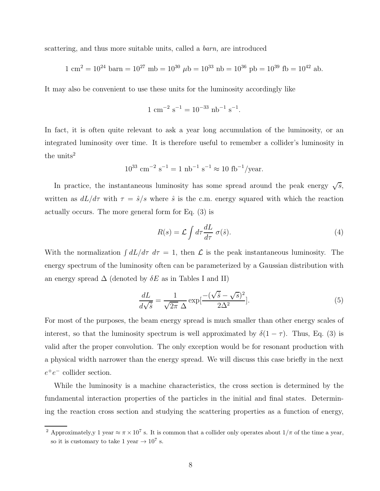scattering, and thus more suitable units, called a barn, are introduced

$$
1 \text{ cm}^2 = 10^{24} \text{ barn} = 10^{27} \text{ mb} = 10^{30} \text{ }\mu\text{b} = 10^{33} \text{ nb} = 10^{36} \text{ pb} = 10^{39} \text{ fb} = 10^{42} \text{ ab}.
$$

It may also be convenient to use these units for the luminosity accordingly like

$$
1 \text{ cm}^{-2} \text{ s}^{-1} = 10^{-33} \text{ nb}^{-1} \text{ s}^{-1}.
$$

In fact, it is often quite relevant to ask a year long accumulation of the luminosity, or an integrated luminosity over time. It is therefore useful to remember a collider's luminosity in the units<sup>2</sup>

$$
10^{33}
$$
 cm<sup>-2</sup> s<sup>-1</sup> = 1 nb<sup>-1</sup> s<sup>-1</sup>  $\approx$  10 fb<sup>-1</sup>/year.

In practice, the instantaneous luminosity has some spread around the peak energy  $\sqrt{s}$ , written as  $dL/d\tau$  with  $\tau = \hat{s}/s$  where  $\hat{s}$  is the c.m. energy squared with which the reaction actually occurs. The more general form for Eq. (3) is

$$
R(s) = \mathcal{L} \int d\tau \frac{dL}{d\tau} \sigma(\hat{s}). \tag{4}
$$

With the normalization  $\int dL/d\tau d\tau = 1$ , then  $\mathcal L$  is the peak instantaneous luminosity. The energy spectrum of the luminosity often can be parameterized by a Gaussian distribution with an energy spread  $\Delta$  (denoted by  $\delta E$  as in Tables I and II)

$$
\frac{dL}{d\sqrt{\hat{s}}} = \frac{1}{\sqrt{2\pi} \,\Delta} \exp\left[\frac{-(\sqrt{\hat{s}} - \sqrt{s})^2}{2\Delta^2}\right].\tag{5}
$$

For most of the purposes, the beam energy spread is much smaller than other energy scales of interest, so that the luminosity spectrum is well approximated by  $\delta(1-\tau)$ . Thus, Eq. (3) is valid after the proper convolution. The only exception would be for resonant production with a physical width narrower than the energy spread. We will discuss this case briefly in the next  $e^+e^-$  collider section.

While the luminosity is a machine characteristics, the cross section is determined by the fundamental interaction properties of the particles in the initial and final states. Determining the reaction cross section and studying the scattering properties as a function of energy,

<sup>&</sup>lt;sup>2</sup> Approximately, y 1 year  $\approx \pi \times 10^7$  s. It is common that a collider only operates about  $1/\pi$  of the time a year, so it is customary to take 1 year  $\rightarrow 10^7$  s.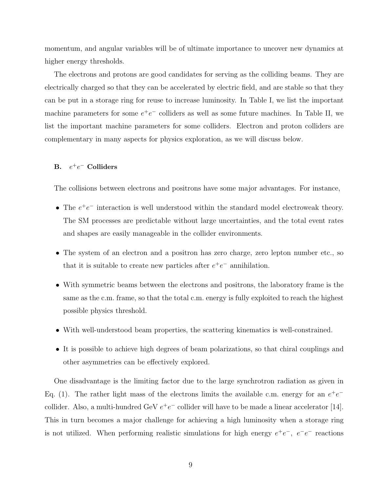momentum, and angular variables will be of ultimate importance to uncover new dynamics at higher energy thresholds.

The electrons and protons are good candidates for serving as the colliding beams. They are electrically charged so that they can be accelerated by electric field, and are stable so that they can be put in a storage ring for reuse to increase luminosity. In Table I, we list the important machine parameters for some  $e^+e^-$  colliders as well as some future machines. In Table II, we list the important machine parameters for some colliders. Electron and proton colliders are complementary in many aspects for physics exploration, as we will discuss below.

#### $B.$  $+e^-$  Colliders

The collisions between electrons and positrons have some major advantages. For instance,

- The  $e^+e^-$  interaction is well understood within the standard model electroweak theory. The SM processes are predictable without large uncertainties, and the total event rates and shapes are easily manageable in the collider environments.
- The system of an electron and a positron has zero charge, zero lepton number etc., so that it is suitable to create new particles after  $e^+e^-$  annihilation.
- With symmetric beams between the electrons and positrons, the laboratory frame is the same as the c.m. frame, so that the total c.m. energy is fully exploited to reach the highest possible physics threshold.
- With well-understood beam properties, the scattering kinematics is well-constrained.
- It is possible to achieve high degrees of beam polarizations, so that chiral couplings and other asymmetries can be effectively explored.

One disadvantage is the limiting factor due to the large synchrotron radiation as given in Eq. (1). The rather light mass of the electrons limits the available c.m. energy for an  $e^+e^$ collider. Also, a multi-hundred GeV  $e^+e^-$  collider will have to be made a linear accelerator [14]. This in turn becomes a major challenge for achieving a high luminosity when a storage ring is not utilized. When performing realistic simulations for high energy  $e^+e^-$ ,  $e^-e^-$  reactions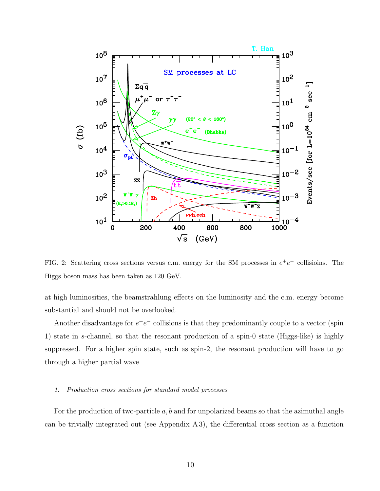

FIG. 2: Scattering cross sections versus c.m. energy for the SM processes in  $e^+e^-$  collisioins. The Higgs boson mass has been taken as 120 GeV.

at high luminosities, the beamstrahlung effects on the luminosity and the c.m. energy become substantial and should not be overlooked.

Another disadvantage for  $e^+e^-$  collisions is that they predominantly couple to a vector (spin 1) state in s-channel, so that the resonant production of a spin-0 state (Higgs-like) is highly suppressed. For a higher spin state, such as spin-2, the resonant production will have to go through a higher partial wave.

### 1. Production cross sections for standard model processes

For the production of two-particle  $a, b$  and for unpolarized beams so that the azimuthal angle can be trivially integrated out (see Appendix A 3), the differential cross section as a function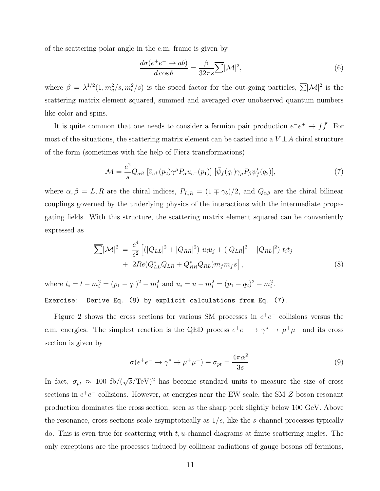of the scattering polar angle in the c.m. frame is given by

$$
\frac{d\sigma(e^+e^- \to ab)}{d\cos\theta} = \frac{\beta}{32\pi s} \overline{\sum} |\mathcal{M}|^2,\tag{6}
$$

where  $\beta = \lambda^{1/2}(1, m_a^2/s, m_b^2/s)$  is the speed factor for the out-going particles,  $\overline{\Sigma}|\mathcal{M}|^2$  is the scattering matrix element squared, summed and averaged over unobserved quantum numbers like color and spins.

It is quite common that one needs to consider a fermion pair production  $e^-e^+ \to f\bar{f}$ . For most of the situations, the scattering matrix element can be casted into a  $V \pm A$  chiral structure of the form (sometimes with the help of Fierz transformations)

$$
\mathcal{M} = \frac{e^2}{s} Q_{\alpha\beta} \left[ \bar{v}_{e^+}(p_2) \gamma^\mu P_\alpha u_{e^-}(p_1) \right] \left[ \bar{\psi}_f(q_1) \gamma_\mu P_\beta \psi'_f(q_2) \right],\tag{7}
$$

where  $\alpha, \beta = L, R$  are the chiral indices,  $P_{L,R} = (1 \mp \gamma_5)/2$ , and  $Q_{\alpha\beta}$  are the chiral bilinear couplings governed by the underlying physics of the interactions with the intermediate propagating fields. With this structure, the scattering matrix element squared can be conveniently expressed as

$$
\overline{\sum}|\mathcal{M}|^2 = \frac{e^4}{s^2} \left[ (|Q_{LL}|^2 + |Q_{RR}|^2) u_i u_j + (|Q_{LR}|^2 + |Q_{RL}|^2) t_i t_j + 2Re(Q_{LL}^* Q_{LR} + Q_{RR}^* Q_{RL}) m_f m_{\bar{f}} s \right],
$$
\n(8)

where  $t_i = t - m_i^2 = (p_1 - q_1)^2 - m_i^2$  and  $u_i = u - m_i^2 = (p_1 - q_2)^2 - m_i^2$ .

Exercise: Derive Eq. (8) by explicit calculations from Eq. (7).

Figure 2 shows the cross sections for various SM processes in  $e^+e^-$  collisions versus the c.m. energies. The simplest reaction is the QED process  $e^+e^- \to \gamma^* \to \mu^+\mu^-$  and its cross section is given by

$$
\sigma(e^+e^- \to \gamma^* \to \mu^+\mu^-) \equiv \sigma_{pt} = \frac{4\pi\alpha^2}{3s}.
$$
\n(9)

In fact,  $\sigma_{pt} \approx 100 \text{ fb}/(\sqrt{s}/\text{TeV})^2$  has become standard units to measure the size of cross sections in  $e^+e^-$  collisions. However, at energies near the EW scale, the SM Z boson resonant production dominates the cross section, seen as the sharp peek slightly below 100 GeV. Above the resonance, cross sections scale asymptotically as  $1/s$ , like the s-channel processes typically do. This is even true for scattering with  $t$ , u-channel diagrams at finite scattering angles. The only exceptions are the processes induced by collinear radiations of gauge bosons off fermions,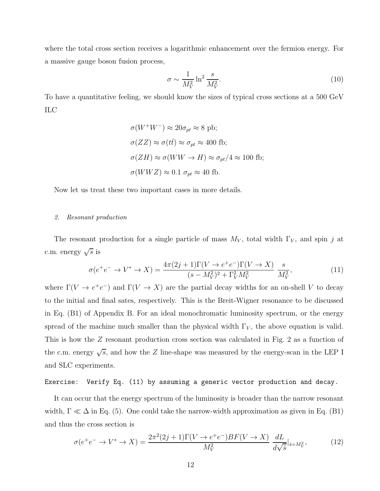where the total cross section receives a logarithmic enhancement over the fermion energy. For a massive gauge boson fusion process,

$$
\sigma \sim \frac{1}{M_V^2} \ln^2 \frac{s}{M_V^2}.\tag{10}
$$

To have a quantitative feeling, we should know the sizes of typical cross sections at a 500 GeV ILC

$$
\sigma(W^+W^-) \approx 20\sigma_{pt} \approx 8 \text{ pb};
$$
  
\n
$$
\sigma(ZZ) \approx \sigma(t\bar{t}) \approx \sigma_{pt} \approx 400 \text{ fb};
$$
  
\n
$$
\sigma(ZH) \approx \sigma(WW \to H) \approx \sigma_{pt}/4 \approx 100 \text{ fb};
$$
  
\n
$$
\sigma(WWZ) \approx 0.1 \sigma_{pt} \approx 40 \text{ fb}.
$$

Now let us treat these two important cases in more details.

### 2. Resonant production

The resonant production for a single particle of mass  $M_V$ , total width  $\Gamma_V$ , and spin j at c.m. energy  $\sqrt{s}$  is

$$
\sigma(e^+e^- \to V^* \to X) = \frac{4\pi(2j+1)\Gamma(V \to e^+e^-)\Gamma(V \to X)}{(s-M_V^2)^2 + \Gamma_V^2 M_V^2} \frac{s}{M_V^2},\tag{11}
$$

where  $\Gamma(V \to e^+e^-)$  and  $\Gamma(V \to X)$  are the partial decay widths for an on-shell V to decay to the initial and final sates, respectively. This is the Breit-Wigner resonance to be discussed in Eq. (B1) of Appendix B. For an ideal monochromatic luminosity spectrum, or the energy spread of the machine much smaller than the physical width  $\Gamma_V$ , the above equation is valid. This is how the Z resonant production cross section was calculated in Fig. 2 as a function of the c.m. energy  $\sqrt{s}$ , and how the Z line-shape was measured by the energy-scan in the LEP I and SLC experiments.

Exercise: Verify Eq. (11) by assuming a generic vector production and decay.

It can occur that the energy spectrum of the luminosity is broader than the narrow resonant width,  $\Gamma \ll \Delta$  in Eq. (5). One could take the narrow-width approximation as given in Eq. (B1) and thus the cross section is

$$
\sigma(e^+e^- \to V^* \to X) = \frac{2\pi^2(2j+1)\Gamma(V \to e^+e^-)BF(V \to X)}{M_V^2} \frac{dL}{d\sqrt{\hat{s}}} |_{\hat{s}=M_V^2},\tag{12}
$$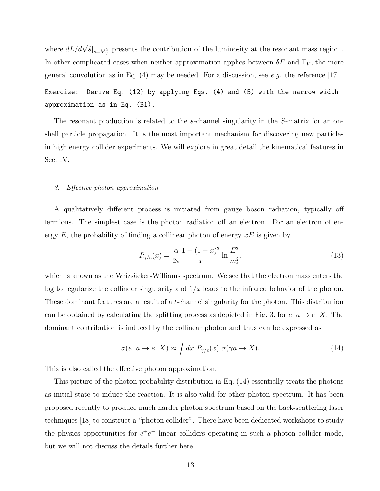where  $dL/d\sqrt{\hat{s}}|_{\hat{s}=M_V^2}$  presents the contribution of the luminosity at the resonant mass region. In other complicated cases when neither approximation applies between  $\delta E$  and  $\Gamma_V$ , the more general convolution as in Eq. (4) may be needed. For a discussion, see e.g. the reference [17]. Exercise: Derive Eq. (12) by applying Eqs. (4) and (5) with the narrow width approximation as in Eq. (B1).

The resonant production is related to the s-channel singularity in the S-matrix for an onshell particle propagation. It is the most important mechanism for discovering new particles in high energy collider experiments. We will explore in great detail the kinematical features in Sec. IV.

### 3. Effective photon approximation

A qualitatively different process is initiated from gauge boson radiation, typically off fermions. The simplest case is the photon radiation off an electron. For an electron of energy  $E$ , the probability of finding a collinear photon of energy  $xE$  is given by

$$
P_{\gamma/e}(x) = \frac{\alpha}{2\pi} \frac{1 + (1 - x)^2}{x} \ln \frac{E^2}{m_e^2},\tag{13}
$$

which is known as the Weizsäcker-Williams spectrum. We see that the electron mass enters the log to regularize the collinear singularity and  $1/x$  leads to the infrared behavior of the photon. These dominant features are a result of a t-channel singularity for the photon. This distribution can be obtained by calculating the splitting process as depicted in Fig. 3, for  $e^-a \to e^-X$ . The dominant contribution is induced by the collinear photon and thus can be expressed as

$$
\sigma(e^-a \to e^-X) \approx \int dx \ P_{\gamma/e}(x) \ \sigma(\gamma a \to X). \tag{14}
$$

This is also called the effective photon approximation.

This picture of the photon probability distribution in Eq. (14) essentially treats the photons as initial state to induce the reaction. It is also valid for other photon spectrum. It has been proposed recently to produce much harder photon spectrum based on the back-scattering laser techniques [18] to construct a "photon collider". There have been dedicated workshops to study the physics opportunities for  $e^+e^-$  linear colliders operating in such a photon collider mode, but we will not discuss the details further here.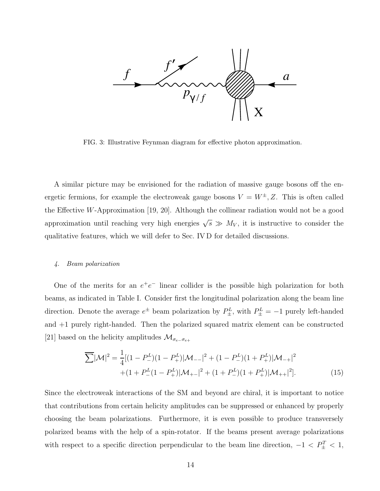

FIG. 3: Illustrative Feynman diagram for effective photon approximation.

A similar picture may be envisioned for the radiation of massive gauge bosons off the energetic fermions, for example the electroweak gauge bosons  $V = W^{\pm}, Z$ . This is often called the Effective W-Approximation [19, 20]. Although the collinear radiation would not be a good approximation until reaching very high energies  $\sqrt{s} \gg M_V$ , it is instructive to consider the qualitative features, which we will defer to Sec. IV D for detailed discussions.

### 4. Beam polarization

One of the merits for an  $e^+e^-$  linear collider is the possible high polarization for both beams, as indicated in Table I. Consider first the longitudinal polarization along the beam line direction. Denote the average  $e^{\pm}$  beam polarization by  $P_{\pm}^{L}$ , with  $P_{\pm}^{L} = -1$  purely left-handed and +1 purely right-handed. Then the polarized squared matrix element can be constructed [21] based on the helicity amplitudes  $\mathcal{M}_{\sigma_{e-} \sigma_{e+}}$ 

$$
\overline{\sum}|\mathcal{M}|^2 = \frac{1}{4}[(1 - P^L_-(1 - P^L_+)|\mathcal{M}_{--}|^2 + (1 - P^L_-(1 + P^L_+)|\mathcal{M}_{-+}|^2 + (1 + P^L_-(1 - P^L_+)|\mathcal{M}_{+-}|^2 + (1 + P^L_-(1 + P^L_+)|\mathcal{M}_{++}|^2].
$$
\n(15)

Since the electroweak interactions of the SM and beyond are chiral, it is important to notice that contributions from certain helicity amplitudes can be suppressed or enhanced by properly choosing the beam polarizations. Furthermore, it is even possible to produce transversely polarized beams with the help of a spin-rotator. If the beams present average polarizations with respect to a specific direction perpendicular to the beam line direction,  $-1 < P_{\pm}^{T} < 1$ ,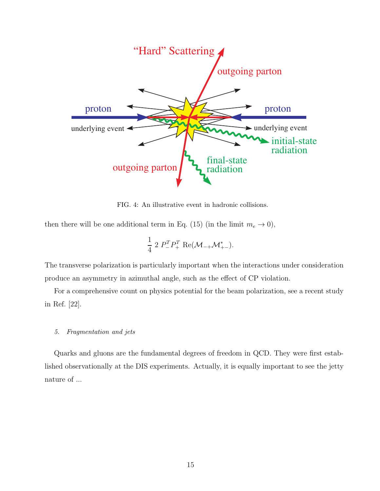

FIG. 4: An illustrative event in hadronic collisions.

then there will be one additional term in Eq. (15) (in the limit  $m_e \to 0$ ),

$$
\frac{1}{4} 2 P_-^T P_+^T \operatorname{Re}(\mathcal{M}_{-+} \mathcal{M}_{+-}^*).
$$

The transverse polarization is particularly important when the interactions under consideration produce an asymmetry in azimuthal angle, such as the effect of CP violation.

For a comprehensive count on physics potential for the beam polarization, see a recent study in Ref. [22].

### 5. Fragmentation and jets

Quarks and gluons are the fundamental degrees of freedom in QCD. They were first established observationally at the DIS experiments. Actually, it is equally important to see the jetty nature of ...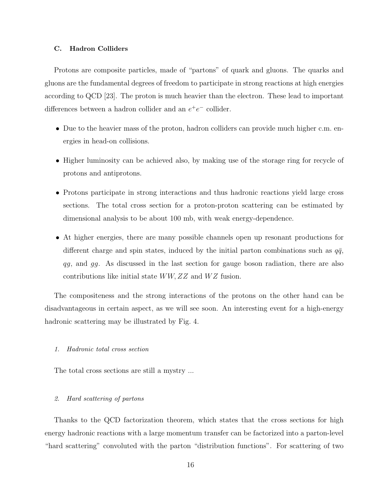### C. Hadron Colliders

Protons are composite particles, made of "partons" of quark and gluons. The quarks and gluons are the fundamental degrees of freedom to participate in strong reactions at high energies according to QCD [23]. The proton is much heavier than the electron. These lead to important differences between a hadron collider and an  $e^+e^-$  collider.

- Due to the heavier mass of the proton, hadron colliders can provide much higher c.m. energies in head-on collisions.
- Higher luminosity can be achieved also, by making use of the storage ring for recycle of protons and antiprotons.
- Protons participate in strong interactions and thus hadronic reactions yield large cross sections. The total cross section for a proton-proton scattering can be estimated by dimensional analysis to be about 100 mb, with weak energy-dependence.
- At higher energies, there are many possible channels open up resonant productions for different charge and spin states, induced by the initial parton combinations such as  $q\bar{q}$ , qg, and gg. As discussed in the last section for gauge boson radiation, there are also contributions like initial state  $WW, ZZ$  and  $WZ$  fusion.

The compositeness and the strong interactions of the protons on the other hand can be disadvantageous in certain aspect, as we will see soon. An interesting event for a high-energy hadronic scattering may be illustrated by Fig. 4.

1. Hadronic total cross section

The total cross sections are still a mystry ...

### 2. Hard scattering of partons

Thanks to the QCD factorization theorem, which states that the cross sections for high energy hadronic reactions with a large momentum transfer can be factorized into a parton-level "hard scattering" convoluted with the parton "distribution functions". For scattering of two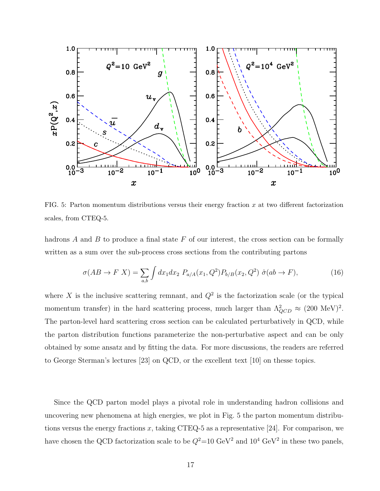

FIG. 5: Parton momentum distributions versus their energy fraction  $x$  at two different factorization scales, from CTEQ-5.

hadrons  $A$  and  $B$  to produce a final state  $F$  of our interest, the cross section can be formally written as a sum over the sub-process cross sections from the contributing partons

$$
\sigma(AB \to F X) = \sum_{a,b} \int dx_1 dx_2 \ P_{a/A}(x_1, Q^2) P_{b/B}(x_2, Q^2) \ \hat{\sigma}(ab \to F), \tag{16}
$$

where X is the inclusive scattering remnant, and  $Q^2$  is the factorization scale (or the typical momentum transfer) in the hard scattering process, much larger than  $\Lambda_{QCD}^2 \approx (200 \text{ MeV})^2$ . The parton-level hard scattering cross section can be calculated perturbatively in QCD, while the parton distribution functions parameterize the non-perturbative aspect and can be only obtained by some ansatz and by fitting the data. For more discussions, the readers are referred to George Sterman's lectures [23] on QCD, or the excellent text [10] on thesse topics.

Since the QCD parton model plays a pivotal role in understanding hadron collisions and uncovering new phenomena at high energies, we plot in Fig. 5 the parton momentum distributions versus the energy fractions x, taking CTEQ-5 as a representative [24]. For comparison, we have chosen the QCD factorization scale to be  $Q^2$ =10 GeV<sup>2</sup> and 10<sup>4</sup> GeV<sup>2</sup> in these two panels,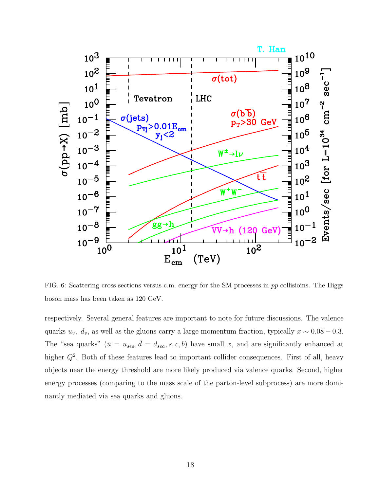

FIG. 6: Scattering cross sections versus c.m. energy for the SM processes in pp collisioins. The Higgs boson mass has been taken as 120 GeV.

respectively. Several general features are important to note for future discussions. The valence quarks  $u_v$ ,  $d_v$ , as well as the gluons carry a large momentum fraction, typically  $x \sim 0.08 - 0.3$ . The "sea quarks"  $(\bar{u} = u_{sea}, \bar{d} = d_{sea}, s, c, b)$  have small x, and are significantly enhanced at higher  $Q^2$ . Both of these features lead to important collider consequences. First of all, heavy objects near the energy threshold are more likely produced via valence quarks. Second, higher energy processes (comparing to the mass scale of the parton-level subprocess) are more dominantly mediated via sea quarks and gluons.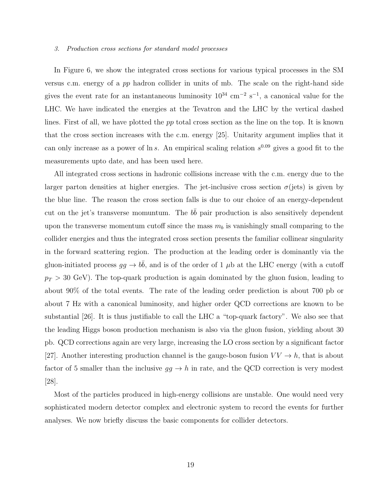### 3. Production cross sections for standard model processes

In Figure 6, we show the integrated cross sections for various typical processes in the SM versus c.m. energy of a pp hadron collider in units of mb. The scale on the right-hand side gives the event rate for an instantaneous luminosity  $10^{34}$  cm<sup>-2</sup> s<sup>-1</sup>, a canonical value for the LHC. We have indicated the energies at the Tevatron and the LHC by the vertical dashed lines. First of all, we have plotted the pp total cross section as the line on the top. It is known that the cross section increases with the c.m. energy [25]. Unitarity argument implies that it can only increase as a power of ln s. An empirical scaling relation  $s^{0.09}$  gives a good fit to the measurements upto date, and has been used here.

All integrated cross sections in hadronic collisions increase with the c.m. energy due to the larger parton densities at higher energies. The jet-inclusive cross section  $\sigma$ (jets) is given by the blue line. The reason the cross section falls is due to our choice of an energy-dependent cut on the jet's transverse momuntum. The  $b\bar{b}$  pair production is also sensitively dependent upon the transverse momentum cutoff since the mass  $m_b$  is vanishingly small comparing to the collider energies and thus the integrated cross section presents the familiar collinear singularity in the forward scattering region. The production at the leading order is dominantly via the gluon-initiated process  $gg \to b\bar{b}$ , and is of the order of 1  $\mu$ b at the LHC energy (with a cutoff  $p_T > 30$  GeV). The top-quark production is again dominated by the gluon fusion, leading to about 90% of the total events. The rate of the leading order prediction is about 700 pb or about 7 Hz with a canonical luminosity, and higher order QCD corrections are known to be substantial [26]. It is thus justifiable to call the LHC a "top-quark factory". We also see that the leading Higgs boson production mechanism is also via the gluon fusion, yielding about 30 pb. QCD corrections again are very large, increasing the LO cross section by a significant factor [27]. Another interesting production channel is the gauge-boson fusion  $VV \to h$ , that is about factor of 5 smaller than the inclusive  $gg \to h$  in rate, and the QCD correction is very modest [28].

Most of the particles produced in high-energy collisions are unstable. One would need very sophisticated modern detector complex and electronic system to record the events for further analyses. We now briefly discuss the basic components for collider detectors.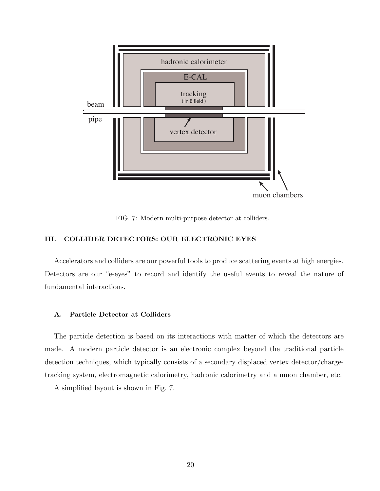

FIG. 7: Modern multi-purpose detector at colliders.

### III. COLLIDER DETECTORS: OUR ELECTRONIC EYES

Accelerators and colliders are our powerful tools to produce scattering events at high energies. Detectors are our "e-eyes" to record and identify the useful events to reveal the nature of fundamental interactions.

### A. Particle Detector at Colliders

The particle detection is based on its interactions with matter of which the detectors are made. A modern particle detector is an electronic complex beyond the traditional particle detection techniques, which typically consists of a secondary displaced vertex detector/chargetracking system, electromagnetic calorimetry, hadronic calorimetry and a muon chamber, etc.

A simplified layout is shown in Fig. 7.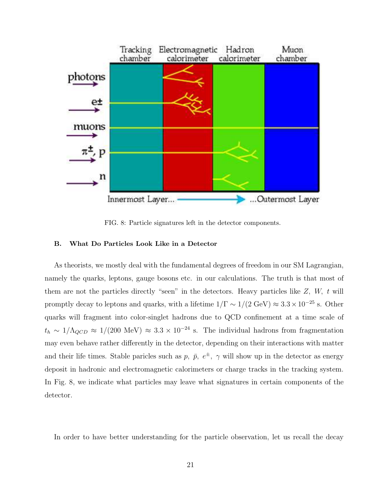

FIG. 8: Particle signatures left in the detector components.

### B. What Do Particles Look Like in a Detector

As theorists, we mostly deal with the fundamental degrees of freedom in our SM Lagrangian, namely the quarks, leptons, gauge bosons etc. in our calculations. The truth is that most of them are not the particles directly "seen" in the detectors. Heavy particles like  $Z$ ,  $W$ ,  $t$  will promptly decay to leptons and quarks, with a lifetime  $1/\Gamma \sim 1/(2 \text{ GeV}) \approx 3.3 \times 10^{-25} \text{ s.}$  Other quarks will fragment into color-singlet hadrons due to QCD confinement at a time scale of  $t_h \sim 1/\Lambda_{QCD} \approx 1/(200 \text{ MeV}) \approx 3.3 \times 10^{-24} \text{ s}$ . The individual hadrons from fragmentation may even behave rather differently in the detector, depending on their interactions with matter and their life times. Stable paricles such as p,  $\bar{p}$ ,  $e^{\pm}$ ,  $\gamma$  will show up in the detector as energy deposit in hadronic and electromagnetic calorimeters or charge tracks in the tracking system. In Fig. 8, we indicate what particles may leave what signatures in certain components of the detector.

In order to have better understanding for the particle observation, let us recall the decay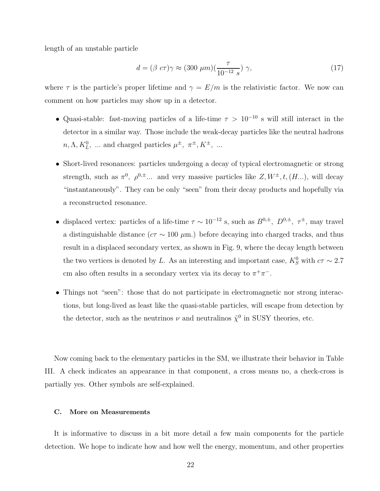length of an unstable particle

$$
d = (\beta \ c\tau)\gamma \approx (300 \ \mu m)(\frac{\tau}{10^{-12} \ s}) \ \gamma,
$$
\n
$$
\tag{17}
$$

where  $\tau$  is the particle's proper lifetime and  $\gamma = E/m$  is the relativistic factor. We now can comment on how particles may show up in a detector.

- Quasi-stable: fast-moving particles of a life-time  $\tau > 10^{-10}$  s will still interact in the detector in a similar way. Those include the weak-decay particles like the neutral hadrons  $n, \Lambda, K_L^0, \ldots$  and charged particles  $\mu^{\pm}, \pi^{\pm}, K^{\pm}, \ldots$
- Short-lived resonances: particles undergoing a decay of typical electromagnetic or strong strength, such as  $\pi^0$ ,  $\rho^{0,\pm}$ ... and very massive particles like  $Z, W^{\pm}, t, (H...),$  will decay "instantaneously". They can be only "seen" from their decay products and hopefully via a reconstructed resonance.
- displaced vertex: particles of a life-time  $\tau \sim 10^{-12}$  s, such as  $B^{0,\pm}$ ,  $D^{0,\pm}$ ,  $\tau^{\pm}$ , may travel a distinguishable distance ( $c\tau \sim 100~\mu$ m.) before decaying into charged tracks, and thus result in a displaced secondary vertex, as shown in Fig. 9, where the decay length between the two vertices is denoted by L. As an interesting and important case,  $K_S^0$  with  $c\tau \sim 2.7$ cm also often results in a secondary vertex via its decay to  $\pi^+\pi^-$ .
- Things not "seen": those that do not participate in electromagnetic nor strong interactions, but long-lived as least like the quasi-stable particles, will escape from detection by the detector, such as the neutrinos  $\nu$  and neutralinos  $\tilde{\chi}^0$  in SUSY theories, etc.

Now coming back to the elementary particles in the SM, we illustrate their behavior in Table III. A check indicates an appearance in that component, a cross means no, a check-cross is partially yes. Other symbols are self-explained.

### C. More on Measurements

It is informative to discuss in a bit more detail a few main components for the particle detection. We hope to indicate how and how well the energy, momentum, and other properties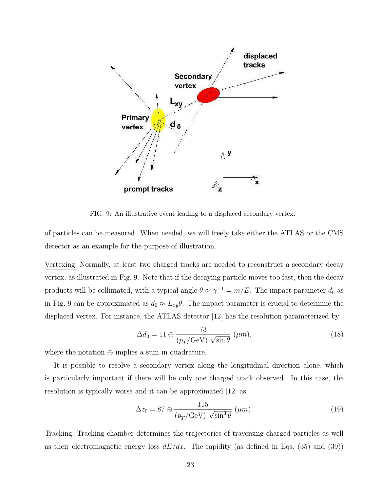

FIG. 9: An illustrative event leading to a displaced secondary vertex.

of particles can be measured. When needed, we will freely take either the ATLAS or the CMS detector as an example for the purpose of illustration.

Vertexing: Normally, at least two charged tracks are needed to reconstruct a secondary decay vertex, as illustrated in Fig. 9. Note that if the decaying particle moves too fast, then the decay products will be collimated, with a typical angle  $\theta \approx \gamma^{-1} = m/E$ . The impact parameter  $d_0$  as in Fig. 9 can be approximated as  $d_0 \approx L_{xy}\theta$ . The impact parameter is crucial to determine the displaced vertex. For instance, the ATLAS detector [12] has the resolution parameterized by

$$
\Delta d_0 = 11 \oplus \frac{73}{(p_T/\text{GeV})\sqrt{\sin\theta}} \ (\mu m), \tag{18}
$$

where the notation  $\oplus$  implies a sum in quadrature.

It is possible to resolve a secondary vertex along the longitudinal direction alone, which is particularly important if there will be only one charged track observed. In this case, the resolution is typically worse and it can be approximated [12] as

$$
\Delta z_0 = 87 \oplus \frac{115}{(p_T/\text{GeV})\sqrt{\sin^3\theta}} \ (\mu m). \tag{19}
$$

Tracking: Tracking chamber determines the trajectories of traversing charged particles as well as their electromagnetic energy loss  $dE/dx$ . The rapidity (as defined in Eqs. (35) and (39))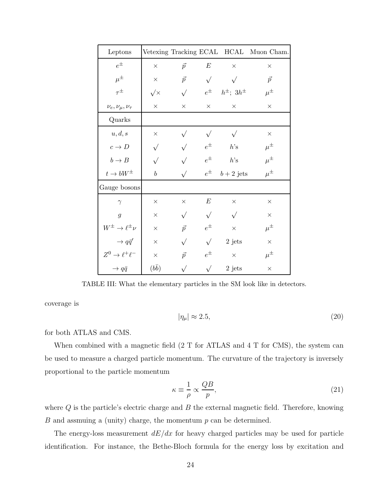| Leptons                              |                  |           |           |                        | Vetexing Tracking ECAL HCAL Muon Cham. |
|--------------------------------------|------------------|-----------|-----------|------------------------|----------------------------------------|
| $e^{\pm}$                            | $\times$         | $\vec{p}$ | E         | $\times$               | $\times$                               |
| $\mu^{\pm}$                          | $\times$         | $\vec{p}$ | $\sqrt{}$ | $\sqrt{}$              | $\vec{p}$                              |
| $\tau^{\pm}$                         | $\sqrt{\times}$  | $\sqrt{}$ | $e^{\pm}$ | $h^{\pm}$ ; $3h^{\pm}$ | $\mu^{\pm}$                            |
| $\nu_e, \nu_\mu, \nu_\tau$           | $\times$         | $\times$  | $\times$  | $\times$               | $\times$                               |
| Quarks                               |                  |           |           |                        |                                        |
| u, d, s                              | $\times$         |           | $\sqrt{}$ | $\sqrt{}$              | $\times$                               |
| $c \rightarrow D$                    | $\sqrt{}$        |           | $e^{\pm}$ | $h$ 's                 | $\mu^\pm$                              |
| $b \to B$                            | $\sqrt{}$        |           | $e^{\pm}$ | $h$ 's                 | $\mu^{\pm}$                            |
| $t \to bW^{\pm}$                     | $\boldsymbol{b}$ |           | $e^{\pm}$ | $b+2$ jets             | $\mu^{\pm}$                            |
| Gauge bosons                         |                  |           |           |                        |                                        |
| $\gamma$                             | $\times$         | $\times$  | $E\,$     | $\times$               | $\times$                               |
| $\overline{g}$                       | $\times$         |           | $\sqrt{}$ | $\sqrt{}$              | $\times$                               |
| $W^{\pm} \rightarrow \ell^{\pm} \nu$ | $\times$         | $\vec{p}$ | $e^{\pm}$ | $\times$               | $\mu^{\pm}$                            |
| $\rightarrow q\bar{q}'$              | $\times$         | $\sqrt{}$ | $\sqrt{}$ | $2$ jets               | $\times$                               |
| $Z^0\to \ell^+\ell^-$                | $\times$         | $\vec{p}$ | $e^{\pm}$ | $\times$               | $\mu^{\pm}$                            |
| $\rightarrow q\bar{q}$               | $(b\bar{b})$     | $\sqrt{}$ | $\sqrt{}$ | $2$ jets               | $\times$                               |

TABLE III: What the elementary particles in the SM look like in detectors.

coverage is

$$
|\eta_{\mu}| \approx 2.5,\tag{20}
$$

for both ATLAS and CMS.

When combined with a magnetic field  $(2 T for ATLAS and 4 T for CMS)$ , the system can be used to measure a charged particle momentum. The curvature of the trajectory is inversely proportional to the particle momentum

$$
\kappa \equiv \frac{1}{\rho} \propto \frac{QB}{p},\tag{21}
$$

where  $Q$  is the particle's electric charge and  $B$  the external magnetic field. Therefore, knowing  $B$  and assmuing a (unity) charge, the momentum  $p$  can be determined.

The energy-loss measurement  $dE/dx$  for heavy charged particles may be used for particle identification. For instance, the Bethe-Bloch formula for the energy loss by excitation and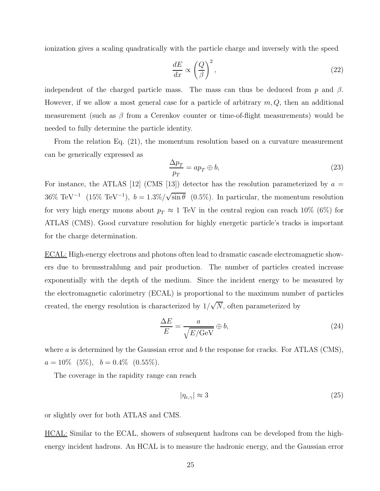ionization gives a scaling quadratically with the particle charge and inversely with the speed

$$
\frac{dE}{dx} \propto \left(\frac{Q}{\beta}\right)^2,\tag{22}
$$

independent of the charged particle mass. The mass can thus be deduced from p and  $\beta$ . However, if we allow a most general case for a particle of arbitrary  $m, Q$ , then an additional measurement (such as  $\beta$  from a Cerenkov counter or time-of-flight measurements) would be needed to fully determine the particle identity.

From the relation Eq. (21), the momentum resolution based on a curvature measurement can be generically expressed as

$$
\frac{\Delta p_T}{p_T} = ap_T \oplus b,\t\t(23)
$$

For instance, the ATLAS [12] (CMS [13]) detector has the resolution parameterized by  $a =$ 36% TeV<sup>-1</sup> (15% TeV<sup>-1</sup>),  $b = 1.3\% / \sqrt{\sin \theta}$  (0.5%). In particular, the momentum resolution for very high energy muons about  $p_T \approx 1$  TeV in the central region can reach 10% (6%) for ATLAS (CMS). Good curvature resolution for highly energetic particle's tracks is important for the charge determination.

ECAL: High-energy electrons and photons often lead to dramatic cascade electromagnetic showers due to bremsstrahlung and pair production. The number of particles created increase exponentially with the depth of the medium. Since the incident energy to be measured by the electromagnetic calorimetry (ECAL) is proportional to the maximum number of particles created, the energy resolution is characterized by  $1/\sqrt{N}$ , often parameterized by

$$
\frac{\Delta E}{E} = \frac{a}{\sqrt{E/\text{GeV}}} \oplus b,\tag{24}
$$

where a is determined by the Gaussian error and b the response for cracks. For ATLAS (CMS),  $a = 10\%$  (5%),  $b = 0.4\%$  (0.55%).

The coverage in the rapidity range can reach

$$
|\eta_{e,\gamma}| \approx 3\tag{25}
$$

or slightly over for both ATLAS and CMS.

HCAL: Similar to the ECAL, showers of subsequent hadrons can be developed from the highenergy incident hadrons. An HCAL is to measure the hadronic energy, and the Gaussian error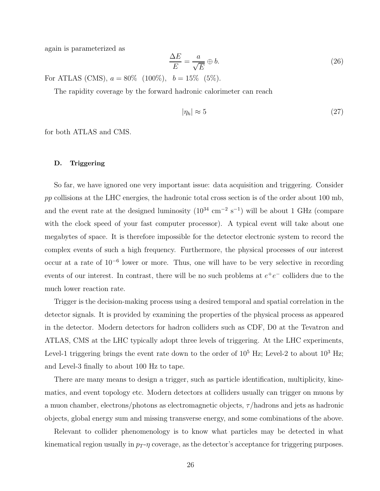again is parameterized as

$$
\frac{\Delta E}{E} = \frac{a}{\sqrt{E}} \oplus b. \tag{26}
$$

For ATLAS (CMS),  $a = 80\%$  (100%),  $b = 15\%$  (5%).

The rapidity coverage by the forward hadronic calorimeter can reach

$$
|\eta_h| \approx 5\tag{27}
$$

for both ATLAS and CMS.

### D. Triggering

So far, we have ignored one very important issue: data acquisition and triggering. Consider pp collisions at the LHC energies, the hadronic total cross section is of the order about 100 mb, and the event rate at the designed luminosity  $(10^{34} \text{ cm}^{-2} \text{ s}^{-1})$  will be about 1 GHz (compare with the clock speed of your fast computer processor). A typical event will take about one megabytes of space. It is therefore impossible for the detector electronic system to record the complex events of such a high frequency. Furthermore, the physical processes of our interest occur at a rate of 10<sup>−</sup><sup>6</sup> lower or more. Thus, one will have to be very selective in recording events of our interest. In contrast, there will be no such problems at  $e^+e^-$  colliders due to the much lower reaction rate.

Trigger is the decision-making process using a desired temporal and spatial correlation in the detector signals. It is provided by examining the properties of the physical process as appeared in the detector. Modern detectors for hadron colliders such as CDF, D0 at the Tevatron and ATLAS, CMS at the LHC typically adopt three levels of triggering. At the LHC experiments, Level-1 triggering brings the event rate down to the order of  $10^5$  Hz; Level-2 to about  $10^3$  Hz; and Level-3 finally to about 100 Hz to tape.

There are many means to design a trigger, such as particle identification, multiplicity, kinematics, and event topology etc. Modern detectors at colliders usually can trigger on muons by a muon chamber, electrons/photons as electromagnetic objects, τ/hadrons and jets as hadronic objects, global energy sum and missing transverse energy, and some combinations of the above.

Relevant to collider phenomenology is to know what particles may be detected in what kinematical region usually in  $p_T$ - $\eta$  coverage, as the detector's acceptance for triggering purposes.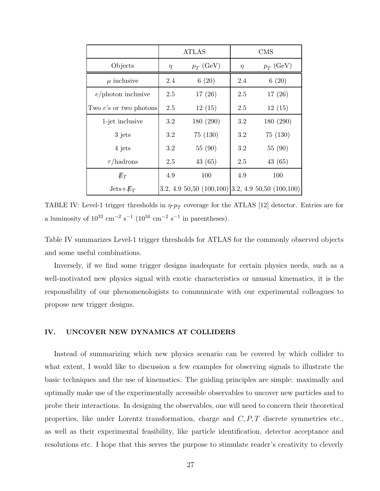|                            |         | <b>ATLAS</b>                                            | <b>CMS</b> |             |  |
|----------------------------|---------|---------------------------------------------------------|------------|-------------|--|
| Objects                    | $\eta$  | $p_T$ (GeV)                                             | $\eta$     | $p_T$ (GeV) |  |
| $\mu$ inclusive            | 2.4     | 6(20)                                                   | 2.4        | 6(20)       |  |
| $e$ /photon inclusive      | 2.5     | 17(26)                                                  | 2.5        | 17(26)      |  |
| Two $e$ 's or two photons  | 2.5     | 12(15)                                                  | 2.5        | 12(15)      |  |
| 1-jet inclusive            | $3.2\,$ | 180 (290)                                               | 3.2        | 180 (290)   |  |
| 3 jets                     | 3.2     | 75(130)                                                 | 3.2        | 75(130)     |  |
| 4 jets                     | 3.2     | 55 (90)                                                 | 3.2        | 55 (90)     |  |
| $\tau$ /hadrons            | 2.5     | 43(65)                                                  | 2.5        | 43(65)      |  |
| $\not\hspace{-1.2mm}E_{T}$ | 4.9     | 100                                                     | 4.9        | 100         |  |
| Jets+ $\not\!\!E_T$        |         | 3.2, 4.9 50,50 $(100, 100)$ 3.2, 4.9 50,50 $(100, 100)$ |            |             |  |

TABLE IV: Level-1 trigger thresholds in  $\eta$ - $p_T$  coverage for the ATLAS [12] detector. Entries are for a luminosity of  $10^{33}$  cm<sup>-2</sup> s<sup>-1</sup> ( $10^{34}$  cm<sup>-2</sup> s<sup>-1</sup> in parentheses).

Table IV summarizes Level-1 trigger thresholds for ATLAS for the commonly observed objects and some useful combinations.

Inversely, if we find some trigger designs inadequate for certain physics needs, such as a well-motivated new physics signal with exotic characteristics or unusual kinematics, it is the responsibility of our phenomenologists to communicate with our experimental colleagues to propose new trigger designs.

### IV. UNCOVER NEW DYNAMICS AT COLLIDERS

Instead of summarizing which new physics scenario can be covered by which collider to what extent, I would like to discussion a few examples for observing signals to illustrate the basic techniques and the use of kinematics. The guiding principles are simple: maximally and optimally make use of the experimentally accessible observables to uncover new particles and to probe their interactions. In designing the observables, one will need to concern their theoretical properties, like under Lorentz transformation, charge and  $C, P, T$  discrete symmetries etc., as well as their experimental feasibility, like particle identification, detector acceptance and resolutions etc. I hope that this serves the purpose to stimulate reader's creativity to cleverly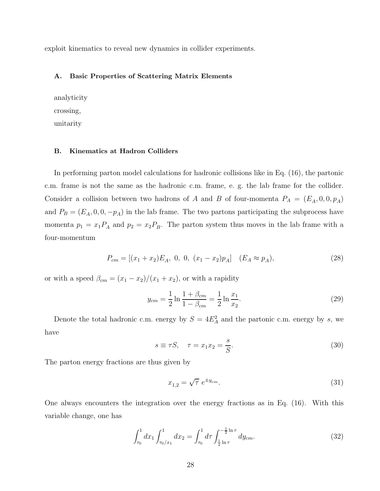exploit kinematics to reveal new dynamics in collider experiments.

### A. Basic Properties of Scattering Matrix Elements

analyticity

crossing,

unitarity

### B. Kinematics at Hadron Colliders

In performing parton model calculations for hadronic collisions like in Eq. (16), the partonic c.m. frame is not the same as the hadronic c.m. frame, e. g. the lab frame for the collider. Consider a collision between two hadrons of A and B of four-momenta  $P_A = (E_A, 0, 0, p_A)$ and  $P_B = (E_A, 0, 0, -p_A)$  in the lab frame. The two partons participating the subprocess have momenta  $p_1 = x_1 P_A$  and  $p_2 = x_2 P_B$ . The parton system thus moves in the lab frame with a four-momentum

$$
P_{cm} = [(x_1 + x_2)E_A, 0, 0, (x_1 - x_2)p_A] \quad (E_A \approx p_A), \tag{28}
$$

or with a speed  $\beta_{cm} = (x_1 - x_2)/(x_1 + x_2)$ , or with a rapidity

$$
y_{cm} = \frac{1}{2} \ln \frac{1 + \beta_{cm}}{1 - \beta_{cm}} = \frac{1}{2} \ln \frac{x_1}{x_2}.
$$
 (29)

Denote the total hadronic c.m. energy by  $S = 4E_A^2$  and the partonic c.m. energy by s, we have

$$
s \equiv \tau S, \quad \tau = x_1 x_2 = \frac{s}{S}.
$$
\n(30)

The parton energy fractions are thus given by

$$
x_{1,2} = \sqrt{\tau} e^{\pm y_{cm}}.\tag{31}
$$

One always encounters the integration over the energy fractions as in Eq. (16). With this variable change, one has

$$
\int_{\tau_0}^1 dx_1 \int_{\tau_0/x_1}^1 dx_2 = \int_{\tau_0}^1 d\tau \int_{\frac{1}{2}\ln\tau}^{-\frac{1}{2}\ln\tau} dy_{cm}.
$$
 (32)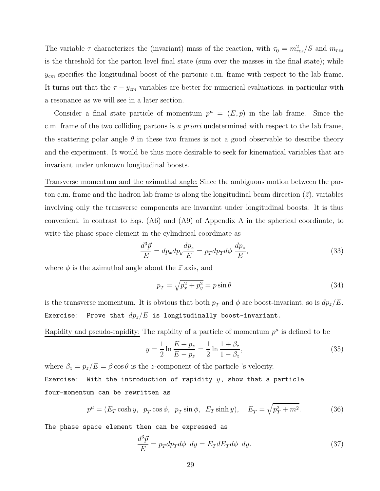The variable  $\tau$  characterizes the (invariant) mass of the reaction, with  $\tau_0 = m_{res}^2/S$  and  $m_{res}$ is the threshold for the parton level final state (sum over the masses in the final state); while  $y_{cm}$  specifies the longitudinal boost of the partonic c.m. frame with respect to the lab frame. It turns out that the  $\tau - y_{cm}$  variables are better for numerical evaluations, in particular with a resonance as we will see in a later section.

Consider a final state particle of momentum  $p^{\mu} = (E, \vec{p})$  in the lab frame. Since the c.m. frame of the two colliding partons is a priori undetermined with respect to the lab frame, the scattering polar angle  $\theta$  in these two frames is not a good observable to describe theory and the experiment. It would be thus more desirable to seek for kinematical variables that are invariant under unknown longitudinal boosts.

Transverse momentum and the azimuthal angle: Since the ambiguous motion between the parton c.m. frame and the hadron lab frame is along the longitudinal beam direction  $(\vec{z})$ , variables involving only the transverse components are invaraint under longitudinal boosts. It is thus convenient, in contrast to Eqs. (A6) and (A9) of Appendix A in the spherical coordinate, to write the phase space element in the cylindrical coordinate as

$$
\frac{d^3\vec{p}}{E} = dp_x dp_y \frac{dp_z}{E} = p_T dp_T d\phi \frac{dp_z}{E},\tag{33}
$$

where  $\phi$  is the azimuthal angle about the  $\vec{z}$  axis, and

$$
p_T = \sqrt{p_x^2 + p_y^2} = p \sin \theta \tag{34}
$$

is the transverse momentum. It is obvious that both  $p_T$  and  $\phi$  are boost-invariant, so is  $dp_z/E$ . Exercise: Prove that  $dp_z/E$  is longitudinally boost-invariant.

Rapidity and pseudo-rapidity: The rapidity of a particle of momentum  $p^{\mu}$  is defined to be

$$
y = \frac{1}{2} \ln \frac{E + p_z}{E - p_z} = \frac{1}{2} \ln \frac{1 + \beta_z}{1 - \beta_z},
$$
\n(35)

where  $\beta_z = p_z/E = \beta \cos \theta$  is the z-component of the particle 's velocity.

Exercise: With the introduction of rapidity  $y$ , show that a particle four-momentum can be rewritten as

$$
p^{\mu} = (E_T \cosh y, \ p_T \cos \phi, \ p_T \sin \phi, \ E_T \sinh y), \quad E_T = \sqrt{p_T^2 + m^2}.
$$
 (36)

The phase space element then can be expressed as

$$
\frac{d^3\vec{p}}{E} = p_T dp_T d\phi \ dy = E_T dE_T d\phi \ dy.
$$
 (37)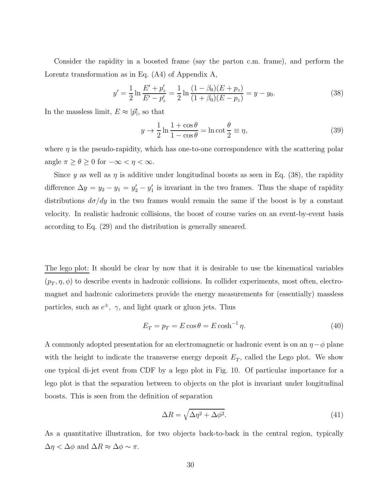Consider the rapidity in a boosted frame (say the parton c.m. frame), and perform the Lorentz transformation as in Eq. (A4) of Appendix A,

$$
y' = \frac{1}{2} \ln \frac{E' + p'_z}{E' - p'_z} = \frac{1}{2} \ln \frac{(1 - \beta_0)(E + p_z)}{(1 + \beta_0)(E - p_z)} = y - y_0.
$$
 (38)

In the massless limit,  $E \approx |\vec{p}|$ , so that

$$
y \to \frac{1}{2} \ln \frac{1 + \cos \theta}{1 - \cos \theta} = \ln \cot \frac{\theta}{2} \equiv \eta,
$$
\n(39)

where  $\eta$  is the pseudo-rapidity, which has one-to-one correspondence with the scattering polar angle  $\pi \geq \theta \geq 0$  for  $-\infty < \eta < \infty$ .

Since y as well as  $\eta$  is additive under longitudinal boosts as seen in Eq. (38), the rapidity difference  $\Delta y = y_2 - y_1 = y_2' - y_1'$  is invariant in the two frames. Thus the shape of rapidity distributions  $d\sigma/dy$  in the two frames would remain the same if the boost is by a constant velocity. In realistic hadronic collisions, the boost of course varies on an event-by-event basis according to Eq. (29) and the distribution is generally smeared.

The lego plot: It should be clear by now that it is desirable to use the kinematical variables  $(p_T, \eta, \phi)$  to describe events in hadronic collisions. In collider experiments, most often, electromagnet and hadronic calorimeters provide the energy measurements for (essentially) massless particles, such as  $e^{\pm}$ ,  $\gamma$ , and light quark or gluon jets. Thus

$$
E_T = p_T = E\cos\theta = E\cosh^{-1}\eta.
$$
\n(40)

A commonly adopted presentation for an electromagnetic or hadronic event is on an  $\eta-\phi$  plane with the height to indicate the transverse energy deposit  $E_T$ , called the Lego plot. We show one typical di-jet event from CDF by a lego plot in Fig. 10. Of particular importance for a lego plot is that the separation between to objects on the plot is invariant under longitudinal boosts. This is seen from the definition of separation

$$
\Delta R = \sqrt{\Delta \eta^2 + \Delta \phi^2}.\tag{41}
$$

As a quantitative illustration, for two objects back-to-back in the central region, typically  $\Delta \eta < \Delta \phi$  and  $\Delta R \approx \Delta \phi \sim \pi$ .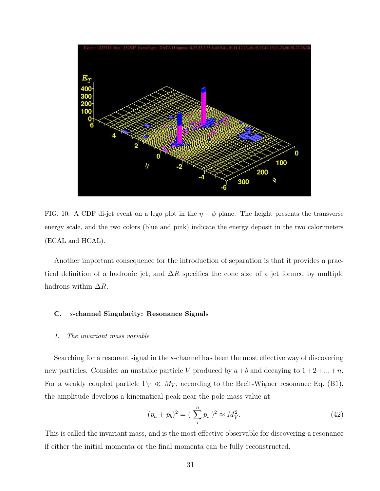

FIG. 10: A CDF di-jet event on a lego plot in the  $\eta - \phi$  plane. The height presents the transverse energy scale, and the two colors (blue and pink) indicate the energy deposit in the two calorimeters (ECAL and HCAL).

Another important consequence for the introduction of separation is that it provides a practical definition of a hadronic jet, and  $\Delta R$  specifies the cone size of a jet formed by multiple hadrons within  $\Delta R$ .

### C. s-channel Singularity: Resonance Signals

#### 1. The invariant mass variable

Searching for a resonant signal in the s-channel has been the most effective way of discovering new particles. Consider an unstable particle V produced by  $a+b$  and decaying to  $1+2+\ldots+n$ . For a weakly coupled particle  $\Gamma_V \ll M_V$ , according to the Breit-Wigner resonance Eq. (B1), the amplitude develops a kinematical peak near the pole mass value at

$$
(p_a + p_b)^2 = (\sum_{i}^{n} p_i)^2 \approx M_V^2.
$$
 (42)

This is called the invariant mass, and is the most effective observable for discovering a resonance if either the initial momenta or the final momenta can be fully reconstructed.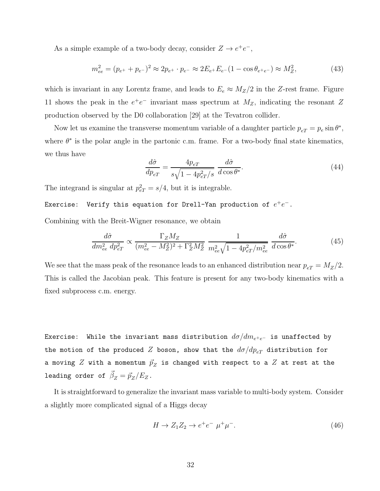As a simple example of a two-body decay, consider  $Z \to e^+e^-,$ 

$$
m_{ee}^2 = (p_{e^+} + p_{e^-})^2 \approx 2p_{e^+} \cdot p_{e^-} \approx 2E_{e^+}E_{e^-}(1 - \cos\theta_{e^+e^-}) \approx M_Z^2,\tag{43}
$$

which is invariant in any Lorentz frame, and leads to  $E_e \approx M_Z/2$  in the Z-rest frame. Figure 11 shows the peak in the  $e^+e^-$  invariant mass spectrum at  $M_Z$ , indicating the resonant Z production observed by the D0 collaboration [29] at the Tevatron collider.

Now let us examine the transverse momentum variable of a daughter particle  $p_{eT} = p_e \sin \theta^*$ , where  $\theta^*$  is the polar angle in the partonic c.m. frame. For a two-body final state kinematics, we thus have

$$
\frac{d\hat{\sigma}}{dp_{eT}} = \frac{4p_{eT}}{s\sqrt{1 - 4p_{eT}^2/s}} \frac{d\hat{\sigma}}{d\cos\theta^*}.
$$
\n(44)

The integrand is singular at  $p_{eT}^2 = s/4$ , but it is integrable.

Exercise: Verify this equation for Drell-Yan production of  $e^+e^-.$ Combining with the Breit-Wigner resonance, we obtain

$$
\frac{d\hat{\sigma}}{dm_{ee}^2 \, dp_{eT}^2} \propto \frac{\Gamma_Z M_Z}{(m_{ee}^2 - M_Z^2)^2 + \Gamma_Z^2 M_Z^2} \, \frac{1}{m_{ee}^2 \sqrt{1 - 4p_{eT}^2/m_{ee}^2}} \, \frac{d\hat{\sigma}}{d\cos\theta^*}.
$$
\n(45)

We see that the mass peak of the resonance leads to an enhanced distribution near  $p_{eT} = M_Z/2$ . This is called the Jacobian peak. This feature is present for any two-body kinematics with a fixed subprocess c.m. energy.

Exercise: While the invariant mass distribution  $d\sigma/dm_{e^+e^-}$  is unaffected by the motion of the produced  $Z$  boson, show that the  $d\sigma/dp_{eT}$  distribution for a moving  $Z$  with a momentum  $\vec{p}_Z$  is changed with respect to a  $Z$  at rest at the leading order of  $\vec{\beta}_Z = \vec{p}_Z/E_Z$ .

It is straightforward to generalize the invariant mass variable to multi-body system. Consider a slightly more complicated signal of a Higgs decay

$$
H \to Z_1 Z_2 \to e^+ e^- \mu^+ \mu^-.
$$
\n
$$
(46)
$$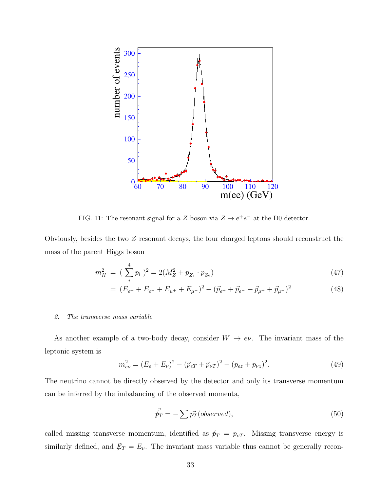

FIG. 11: The resonant signal for a Z boson via  $Z \to e^+e^-$  at the D0 detector.

Obviously, besides the two  $Z$  resonant decays, the four charged leptons should reconstruct the mass of the parent Higgs boson

$$
m_H^2 = (\sum_{i}^{4} p_i)^2 = 2(M_Z^2 + p_{Z_1} \cdot p_{Z_2}) \tag{47}
$$

$$
= (E_{e^+} + E_{e^-} + E_{\mu^+} + E_{\mu^-})^2 - (\vec{p}_{e^+} + \vec{p}_{e^-} + \vec{p}_{\mu^+} + \vec{p}_{\mu^-})^2. \tag{48}
$$

#### 2. The transverse mass variable

As another example of a two-body decay, consider  $W \to e\nu$ . The invariant mass of the leptonic system is

$$
m_{e\nu}^2 = (E_e + E_\nu)^2 - (\vec{p}_{eT} + \vec{p}_{\nu T})^2 - (p_{ez} + p_{\nu z})^2.
$$
 (49)

The neutrino cannot be directly observed by the detector and only its transverse momentum can be inferred by the imbalancing of the observed momenta,

$$
\vec{p_T} = -\sum \vec{p_T} (observed),\tag{50}
$$

called missing transverse momentum, identified as  $p_T = p_{\nu T}$ . Missing transverse energy is similarly defined, and  $\not\hspace{-1.2mm}E_T = E_\nu$ . The invariant mass variable thus cannot be generally recon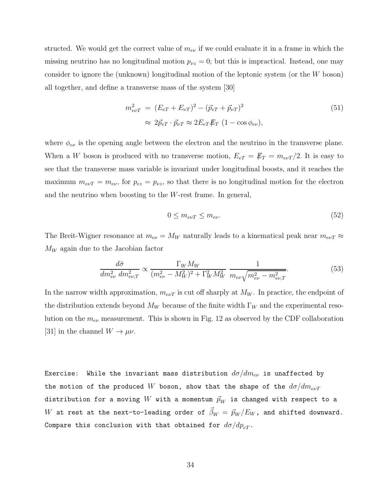structed. We would get the correct value of  $m_{e\nu}$  if we could evaluate it in a frame in which the missing neutrino has no longitudinal motion  $p_{\nu z} = 0$ ; but this is impractical. Instead, one may consider to ignore the (unknown) longitudinal motion of the leptonic system (or the W boson) all together, and define a transverse mass of the system [30]

$$
m_{e\nu T}^{2} = (E_{eT} + E_{\nu T})^{2} - (\vec{p}_{eT} + \vec{p}_{\nu T})^{2}
$$
  

$$
\approx 2\vec{p}_{eT} \cdot \vec{p}_{\nu T} \approx 2E_{eT}\vec{p}_{T} (1 - \cos\phi_{e\nu}),
$$
 (51)

where  $\phi_{e\nu}$  is the opening angle between the electron and the neutrino in the transverse plane. When a W boson is produced with no transverse motion,  $E_{eT} = \not{E}_T = m_{e\nu}T/2$ . It is easy to see that the transverse mass variable is invariant under longitudinal boosts, and it reaches the maximum  $m_{e\nu T} = m_{e\nu}$ , for  $p_{ez} = p_{\nu z}$ , so that there is no longitudinal motion for the electron and the neutrino when boosting to the W-rest frame. In general,

$$
0 \le m_{e\nu} \le m_{e\nu}.\tag{52}
$$

The Breit-Wigner resonance at  $m_{e\nu} = M_W$  naturally leads to a kinematical peak near  $m_{e\nu} \approx$  $M_W$  again due to the Jacobian factor

$$
\frac{d\hat{\sigma}}{dm_{e\nu}^2} \propto \frac{\Gamma_W M_W}{(m_{e\nu}^2 - M_W^2)^2 + \Gamma_W^2 M_W^2} \frac{1}{m_{e\nu}\sqrt{m_{e\nu}^2 - m_{e\nu,T}^2}}.\tag{53}
$$

In the narrow width approximation,  $m_{e\nu T}$  is cut off sharply at  $M_W$ . In practice, the endpoint of the distribution extends beyond  $M_W$  because of the finite width  $\Gamma_W$  and the experimental resolution on the  $m_{e\nu}$  measurement. This is shown in Fig. 12 as observed by the CDF collaboration [31] in the channel  $W \to \mu \nu$ .

Exercise: While the invariant mass distribution  $d\sigma/dm_{e\nu}$  is unaffected by the motion of the produced  $W$  boson, show that the shape of the  $d\sigma/dm_{e\nu T}$ distribution for a moving  $W$  with a momentum  $\vec{p}_W$  is changed with respect to a  $W$  at rest at the next-to-leading order of  $\vec{\beta}_W^{} = \vec{p}_W^{} / E_W^{}$ , and shifted downward. Compare this conclusion with that obtained for  $d\sigma/dp_{eT}$ .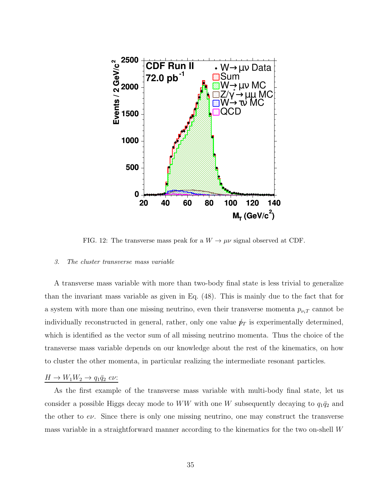

FIG. 12: The transverse mass peak for a  $W \to \mu \nu$  signal observed at CDF.

### 3. The cluster transverse mass variable

A transverse mass variable with more than two-body final state is less trivial to generalize than the invariant mass variable as given in Eq. (48). This is mainly due to the fact that for a system with more than one missing neutrino, even their transverse momenta  $p_{\nu_i T}$  cannot be individually reconstructed in general, rather, only one value  $p_T$  is experimentally determined, which is identified as the vector sum of all missing neutrino momenta. Thus the choice of the transverse mass variable depends on our knowledge about the rest of the kinematics, on how to cluster the other momenta, in particular realizing the intermediate resonant particles.

### $H \to W_1 W_2 \to q_1 \bar{q}_2 e \nu$ :

As the first example of the transverse mass variable with multi-body final state, let us consider a possible Higgs decay mode to  $WW$  with one W subsequently decaying to  $q_1\bar{q}_2$  and the other to  $e\nu$ . Since there is only one missing neutrino, one may construct the transverse mass variable in a straightforward manner according to the kinematics for the two on-shell W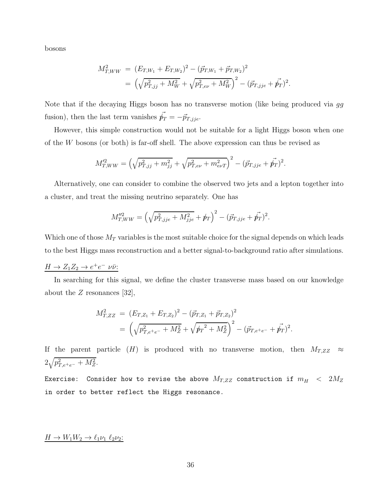bosons

$$
M_{T,WW}^2 = (E_{T,W_1} + E_{T,W_2})^2 - (\vec{p}_{T,W_1} + \vec{p}_{T,W_2})^2
$$
  
= 
$$
(\sqrt{p_{T,jj}^2 + M_W^2} + \sqrt{p_{T,e\nu}^2 + M_W^2})^2 - (\vec{p}_{T,jje} + \vec{p}_T)^2.
$$

Note that if the decaying Higgs boson has no transverse motion (like being produced via gg fusion), then the last term vanishes  $\vec{p_T} = -\vec{p}_{T,jje}$ .

However, this simple construction would not be suitable for a light Higgs boson when one of the  $W$  bosons (or both) is far-off shell. The above expression can thus be revised as

$$
M_{T,WW}^{\prime 2} = \left(\sqrt{p_{T,jj}^2 + m_{jj}^2} + \sqrt{p_{T,e\nu}^2 + m_{e\nu T}^2}\right)^2 - (\vec{p}_{T,jje} + \vec{p}_T)^2.
$$

Alternatively, one can consider to combine the observed two jets and a lepton together into a cluster, and treat the missing neutrino separately. One has

$$
M_{T,WW}^{"2} = \left(\sqrt{p_{T,jje}^2 + M_{jje}^2} + \not{p}_T\right)^2 - (\vec{p}_{T,jje} + \vec{p}_T)^2.
$$

Which one of those  $M_T$  variables is the most suitable choice for the signal depends on which leads to the best Higgs mass reconstruction and a better signal-to-background ratio after simulations.

## $H \rightarrow Z_1 Z_2 \rightarrow e^+ e^- \nu \bar{\nu}$ :

In searching for this signal, we define the cluster transverse mass based on our knowledge about the Z resonances [32],

$$
M_{T,ZZ}^2 = (E_{T,Z_1} + E_{T,Z_2})^2 - (\vec{p}_{T,Z_1} + \vec{p}_{T,Z_2})^2
$$
  
=  $\left(\sqrt{p_{T,e^+e^-}^2 + M_Z^2} + \sqrt{p_T^2 + M_Z^2}\right)^2 - (\vec{p}_{T,e^+e^-} + \vec{p}_T)^2$ .

If the parent particle (H) is produced with no transverse motion, then  $M_{T,ZZ} \approx$  $2\sqrt{p_{T,e^+e^-}^2+M_Z^2}.$ 

Exercise: Consider how to revise the above  $M_{T,ZZ}$  construction if  $m_H$  <  $2M_Z$ in order to better reflect the Higgs resonance.

 $H \to W_1W_2 \to \ell_1\nu_1 \; \ell_2\nu_2$ :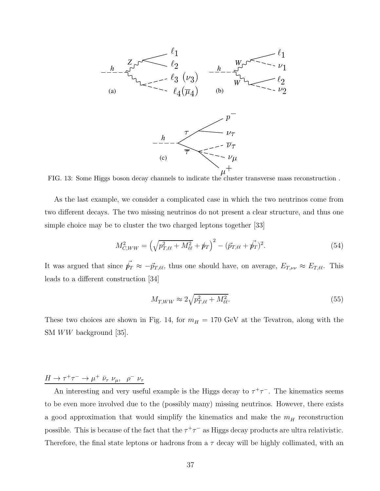

FIG. 13: Some Higgs boson decay channels to indicate the cluster transverse mass reconstruction .

As the last example, we consider a complicated case in which the two neutrinos come from two different decays. The two missing neutrinos do not present a clear structure, and thus one simple choice may be to cluster the two charged leptons together [33]

$$
M_{C,WW}^2 = \left(\sqrt{p_{T,\ell\ell}^2 + M_{\ell\ell}^2} + \not{p}_T\right)^2 - (\vec{p}_{T,\ell\ell} + \vec{p}_T)^2. \tag{54}
$$

It was argued that since  $\vec{p}_T \approx -\vec{p}_{T,\ell\ell}$ , thus one should have, on average,  $E_{T,\nu\nu} \approx E_{T,\ell\ell}$ . This leads to a different construction [34]

$$
M_{T,WW} \approx 2\sqrt{p_{T,\ell\ell}^2 + M_{\ell\ell}^2}.\tag{55}
$$

These two choices are shown in Fig. 14, for  $m_H = 170$  GeV at the Tevatron, along with the SM WW background [35].

## $H \to \tau^+ \tau^- \to \mu^+ \bar{\nu}_{\tau} \nu_{\mu}, \rho^- \nu_{\tau}$

An interesting and very useful example is the Higgs decay to  $\tau^+\tau^-$ . The kinematics seems to be even more involved due to the (possibly many) missing neutrinos. However, there exists a good approximation that would simplify the kinematics and make the  $m_H$  reconstruction possible. This is because of the fact that the  $\tau^+\tau^-$  as Higgs decay products are ultra relativistic. Therefore, the final state leptons or hadrons from a  $\tau$  decay will be highly collimated, with an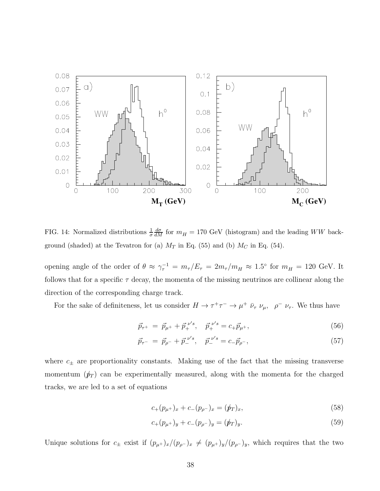

FIG. 14: Normalized distributions  $\frac{1}{\sigma}$  $\frac{d\sigma}{dM}$  for  $m_H = 170 \text{ GeV}$  (histogram) and the leading WW background (shaded) at the Tevatron for (a)  $M_T$  in Eq. (55) and (b)  $M_C$  in Eq. (54).

opening angle of the order of  $\theta \approx \gamma_\tau^{-1} = m_\tau/E_\tau = 2m_\tau/m_H \approx 1.5^\circ$  for  $m_H = 120$  GeV. It follows that for a specific  $\tau$  decay, the momenta of the missing neutrinos are collinear along the direction of the corresponding charge track.

For the sake of definiteness, let us consider  $H \to \tau^+\tau^- \to \mu^+ \bar{\nu}_{\tau} \nu_{\mu}$ ,  $\rho^- \nu_{\tau}$ . We thus have

$$
\vec{p}_{\tau^+} = \vec{p}_{\mu^+} + \vec{p}_+^{\nu's}, \quad \vec{p}_+^{\nu's} = c_+ \vec{p}_{\mu^+}, \tag{56}
$$

$$
\vec{p}_{\tau^-} = \vec{p}_{\rho^-} + \vec{p}_{-}^{\ \nu's}, \quad \vec{p}_{-}^{\ \nu's} = c_{-} \vec{p}_{\rho^-}, \tag{57}
$$

where  $c_{\pm}$  are proportionality constants. Making use of the fact that the missing transverse momentum  $(p_T)$  can be experimentally measured, along with the momenta for the charged tracks, we are led to a set of equations

$$
c_{+}(p_{\mu^{+}})_{x} + c_{-}(p_{\rho^{-}})_{x} = (\not{p}_{T})_{x}, \qquad (58)
$$

$$
c_{+}(p_{\mu^{+}})_{y} + c_{-}(p_{\rho^{-}})_{y} = (\not{p}_{T})_{y}.
$$
\n(59)

Unique solutions for  $c_{\pm}$  exist if  $(p_{\mu^+})_x/(p_{\rho^-})_x \neq (p_{\mu^+})_y/(p_{\rho^-})_y$ , which requires that the two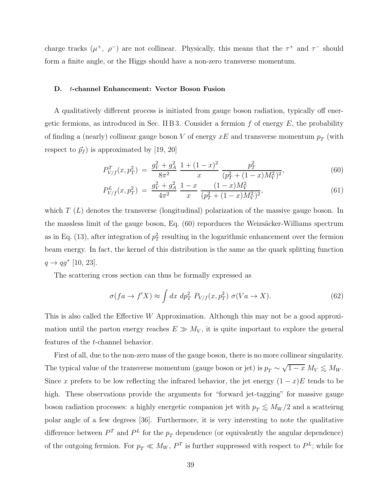charge tracks  $(\mu^+, \rho^-)$  are not collinear. Physically, this means that the  $\tau^+$  and  $\tau^-$  should form a finite angle, or the Higgs should have a non-zero transverse momentum.

### D. t-channel Enhancement: Vector Boson Fusion

A qualitatively different process is initiated from gauge boson radiation, typically off energetic fermions, as introduced in Sec. II B 3. Consider a fermion  $f$  of energy  $E$ , the probability of finding a (nearly) collinear gauge boson V of energy  $xE$  and transverse momentum  $p_T$  (with respect to  $\vec{p}_f$ ) is approximated by [19, 20]

$$
P_{V/f}^T(x, p_T^2) = \frac{g_V^2 + g_A^2}{8\pi^2} \frac{1 + (1 - x)^2}{x} \frac{p_T^2}{(p_T^2 + (1 - x)M_V^2)^2},\tag{60}
$$

$$
P_{V/f}^L(x, p_T^2) = \frac{g_V^2 + g_A^2}{4\pi^2} \frac{1 - x}{x} \frac{(1 - x)M_V^2}{(p_T^2 + (1 - x)M_V^2)^2},\tag{61}
$$

which  $T(L)$  denotes the transverse (longitudinal) polarization of the massive gauge boson. In the massless limit of the gauge boson, Eq. (60) reporduces the Weizsäcker-Williams spectrum as in Eq. (13), after integration of  $p_T^2$  resulting in the logarithmic enhancement over the fermion beam energy. In fact, the kernel of this distribution is the same as the quark splitting function  $q \to qg^*$  [10, 23].

The scattering cross section can thus be formally expressed as

$$
\sigma(fa \to f'X) \approx \int dx \; dp_T^2 \; P_{V/f}(x, p_T^2) \; \sigma(Va \to X). \tag{62}
$$

This is also called the Effective W Approximation. Although this may not be a good approximation until the parton energy reaches  $E \gg M_V$ , it is quite important to explore the general features of the t-channel behavior.

First of all, due to the non-zero mass of the gauge boson, there is no more collinear singularity. The typical value of the transverse momentum (gauge boson or jet) is  $p_T \sim \sqrt{1-x} M_V \lesssim M_W$ . Since x prefers to be low reflecting the infrared behavior, the jet energy  $(1-x)E$  tends to be high. These observations provide the arguments for "forward jet-tagging" for massive gauge boson radiation processes: a highly energetic companion jet with  $p_T \lesssim M_W/2$  and a scatteirng polar angle of a few degrees [36]. Furthermore, it is very interesting to note the qualitative difference between  $P<sup>T</sup>$  and  $P<sup>L</sup>$  for the  $p<sub>T</sub>$  dependence (or equivalently the angular dependence) of the outgoing fermion. For  $p_T \ll M_W$ ,  $P^T$  is further suppressed with respect to  $P^L$ ; while for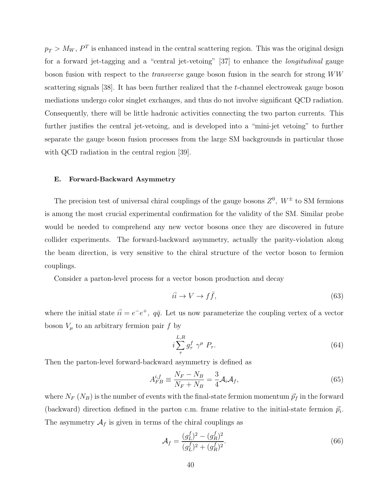$p_T > M_W$ ,  $P<sup>T</sup>$  is enhanced instead in the central scattering region. This was the original design for a forward jet-tagging and a "central jet-vetoing" [37] to enhance the longitudinal gauge boson fusion with respect to the transverse gauge boson fusion in the search for strong WW scattering signals [38]. It has been further realized that the t-channel electroweak gauge boson mediations undergo color singlet exchanges, and thus do not involve significant QCD radiation. Consequently, there will be little hadronic activities connecting the two parton currents. This further justifies the central jet-vetoing, and is developed into a "mini-jet vetoing" to further separate the gauge boson fusion processes from the large SM backgrounds in particular those with QCD radiation in the central region [39].

### E. Forward-Backward Asymmetry

The precision test of universal chiral couplings of the gauge bosons  $Z^0$ ,  $W^{\pm}$  to SM fermions is among the most crucial experimental confirmation for the validity of the SM. Similar probe would be needed to comprehend any new vector bosons once they are discovered in future collider experiments. The forward-backward asymmetry, actually the parity-violation along the beam direction, is very sensitive to the chiral structure of the vector boson to fermion couplings.

Consider a parton-level process for a vector boson production and decay

$$
i\bar{i} \to V \to f\bar{f},\tag{63}
$$

where the initial state  $i\bar{i} = e^-e^+, q\bar{q}$ . Let us now parameterize the coupling vertex of a vector boson  $V_\mu$  to an arbitrary fermion pair f by

$$
i\sum_{\tau}^{L,R} g_{\tau}^f \gamma^{\mu} P_{\tau}.
$$
 (64)

Then the parton-level forward-backward asymmetry is defined as

$$
A_{FB}^{i,f} \equiv \frac{N_F - N_B}{N_F + N_B} = \frac{3}{4} \mathcal{A}_i \mathcal{A}_f,\tag{65}
$$

where  $N_F$  ( $N_B$ ) is the number of events with the final-state fermion momentum  $\vec{p}_f$  in the forward (backward) direction defined in the parton c.m. frame relative to the initial-state fermion  $\vec{p}_i$ . The asymmetry  $A_f$  is given in terms of the chiral couplings as

$$
\mathcal{A}_f = \frac{(g_L^f)^2 - (g_R^f)^2}{(g_L^f)^2 + (g_R^f)^2}.
$$
\n(66)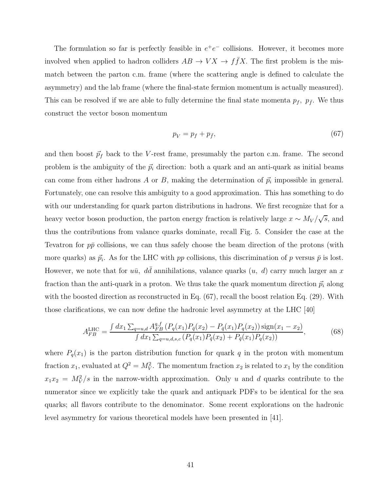The formulation so far is perfectly feasible in  $e^+e^-$  collisions. However, it becomes more involved when applied to hadron colliders  $AB \to VX \to f\bar{f}X$ . The first problem is the mismatch between the parton c.m. frame (where the scattering angle is defined to calculate the asymmetry) and the lab frame (where the final-state fermion momentum is actually measured). This can be resolved if we are able to fully determine the final state momenta  $p_f$ ,  $p_{\bar{f}}$ . We thus construct the vector boson momentum

$$
p_V = p_f + p_{\bar{f}},\tag{67}
$$

and then boost  $\vec{p}_f$  back to the V-rest frame, presumably the parton c.m. frame. The second problem is the ambiguity of the  $\vec{p}_i$  direction: both a quark and an anti-quark as initial beams can come from either hadrons A or B, making the determination of  $\vec{p}_i$  impossible in general. Fortunately, one can resolve this ambiguity to a good approximation. This has something to do with our understanding for quark parton distributions in hadrons. We first recognize that for a heavy vector boson production, the parton energy fraction is relatively large  $x \sim M_V / \sqrt{s}$ , and thus the contributions from valance quarks dominate, recall Fig. 5. Consider the case at the Tevatron for  $p\bar{p}$  collisions, we can thus safely choose the beam direction of the protons (with more quarks) as  $\vec{p}_i$ . As for the LHC with pp collisions, this discrimination of p versus  $\bar{p}$  is lost. However, we note that for  $u\bar{u}$ ,  $d\bar{d}$  annihilations, valance quarks  $(u, d)$  carry much larger an x fraction than the anti-quark in a proton. We thus take the quark momentum direction  $\vec{p}_i$  along with the boosted direction as reconstructed in Eq. (67), recall the boost relation Eq. (29). With those clarifications, we can now define the hadronic level asymmetry at the LHC [40]

$$
A_{FB}^{\text{LHC}} = \frac{\int dx_1 \sum_{q=u,d} A_{FB}^{q,f} \left( P_q(x_1) P_{\bar{q}}(x_2) - P_{\bar{q}}(x_1) P_q(x_2) \right) \text{sign}(x_1 - x_2)}{\int dx_1 \sum_{q=u,d,s,c} \left( P_q(x_1) P_{\bar{q}}(x_2) + P_{\bar{q}}(x_1) P_q(x_2) \right)},\tag{68}
$$

where  $P_q(x_1)$  is the parton distribution function for quark q in the proton with momentum fraction  $x_1$ , evaluated at  $Q^2 = M_V^2$ . The momentum fraction  $x_2$  is related to  $x_1$  by the condition  $x_1x_2 = M_V^2/s$  in the narrow-width approximation. Only u and d quarks contribute to the numerator since we explicitly take the quark and antiquark PDFs to be identical for the sea quarks; all flavors contribute to the denominator. Some recent explorations on the hadronic level asymmetry for various theoretical models have been presented in [41].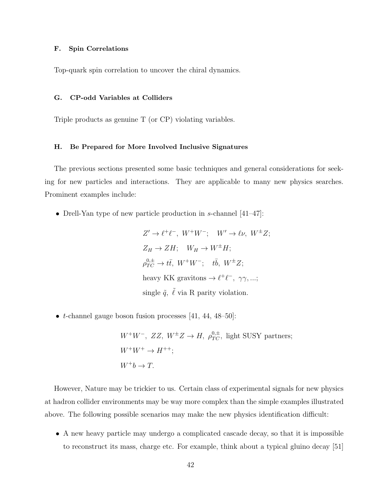### F. Spin Correlations

Top-quark spin correlation to uncover the chiral dynamics.

### G. CP-odd Variables at Colliders

Triple products as genuine T (or CP) violating variables.

### H. Be Prepared for More Involved Inclusive Signatures

The previous sections presented some basic techniques and general considerations for seeking for new particles and interactions. They are applicable to many new physics searches. Prominent examples include:

• Drell-Yan type of new particle production in s-channel [41–47]:

$$
Z' \to \ell^+ \ell^-, W^+ W^-; W' \to \ell \nu, W^{\pm} Z;
$$
  
\n
$$
Z_H \to ZH; W_H \to W^{\pm} H;
$$
  
\n
$$
\rho_{TC}^{0,\pm} \to t\bar{t}, W^+ W^-; t\bar{b}, W^{\pm} Z;
$$
  
\nheavy KK gravitons  $\to \ell^+ \ell^-, \gamma \gamma, ...;$   
\nsingle  $\tilde{q}, \tilde{\ell}$  via R parity violation.

• *t*-channel gauge boson fusion processes [41, 44, 48–50]:

$$
W^+W^-
$$
, ZZ,  $W^{\pm}Z \rightarrow H$ ,  $\rho_{TC}^{0,\pm}$ , light SUSY partners;  
 $W^+W^+ \rightarrow H^{++}$ ;  
 $W^+b \rightarrow T$ .

However, Nature may be trickier to us. Certain class of experimental signals for new physics at hadron collider environments may be way more complex than the simple examples illustrated above. The following possible scenarios may make the new physics identification difficult:

• A new heavy particle may undergo a complicated cascade decay, so that it is impossible to reconstruct its mass, charge etc. For example, think about a typical gluino decay [51]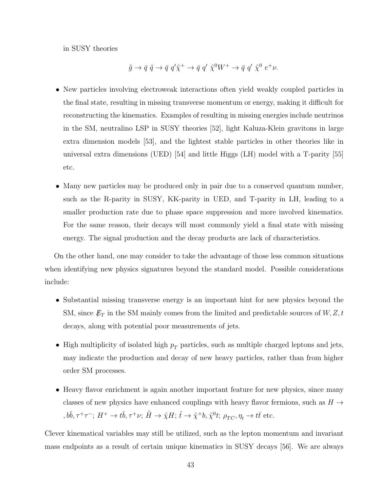in SUSY theories

$$
\tilde{g} \to \bar{q} \; \tilde{q} \to \bar{q} \; q' \tilde{\chi}^+ \to \bar{q} \; q' \; \tilde{\chi}^0 W^+ \to \bar{q} \; q' \; \tilde{\chi}^0 \; e^+ \nu.
$$

- New particles involving electroweak interactions often yield weakly coupled particles in the final state, resulting in missing transverse momentum or energy, making it difficult for reconstructing the kinematics. Examples of resulting in missing energies include neutrinos in the SM, neutralino LSP in SUSY theories [52], light Kaluza-Klein gravitons in large extra dimension models [53], and the lightest stable particles in other theories like in universal extra dimensions (UED) [54] and little Higgs (LH) model with a T-parity [55] etc.
- Many new particles may be produced only in pair due to a conserved quantum number, such as the R-parity in SUSY, KK-parity in UED, and T-parity in LH, leading to a smaller production rate due to phase space suppression and more involved kinematics. For the same reason, their decays will most commonly yield a final state with missing energy. The signal production and the decay products are lack of characteristics.

On the other hand, one may consider to take the advantage of those less common situations when identifying new physics signatures beyond the standard model. Possible considerations include:

- Substantial missing transverse energy is an important hint for new physics beyond the SM, since  $\not\!\!E_T$  in the SM mainly comes from the limited and predictable sources of  $W, Z, t$ decays, along with potential poor measurements of jets.
- High multiplicity of isolated high  $p_T$  particles, such as multiple charged leptons and jets, may indicate the production and decay of new heavy particles, rather than from higher order SM processes.
- Heavy flavor enrichment is again another important feature for new physics, since many classes of new physics have enhanced couplings with heavy flavor fermions, such as  $H \rightarrow$  $, b\bar{b}, \tau^+\tau^-; H^+ \to t\bar{b}, \tau^+\nu; \tilde{H} \to \tilde{\chi}H; \tilde{t} \to \tilde{\chi}^+b, \tilde{\chi}^0t; \rho_{TC}, \eta_t \to t\bar{t}$  etc.

Clever kinematical variables may still be utilized, such as the lepton momentum and invariant mass endpoints as a result of certain unique kinematics in SUSY decays [56]. We are always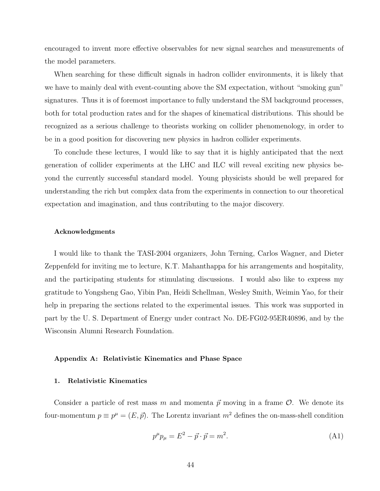encouraged to invent more effective observables for new signal searches and measurements of the model parameters.

When searching for these difficult signals in hadron collider environments, it is likely that we have to mainly deal with event-counting above the SM expectation, without "smoking gun" signatures. Thus it is of foremost importance to fully understand the SM background processes, both for total production rates and for the shapes of kinematical distributions. This should be recognized as a serious challenge to theorists working on collider phenomenology, in order to be in a good position for discovering new physics in hadron collider experiments.

To conclude these lectures, I would like to say that it is highly anticipated that the next generation of collider experiments at the LHC and ILC will reveal exciting new physics beyond the currently successful standard model. Young physicists should be well prepared for understanding the rich but complex data from the experiments in connection to our theoretical expectation and imagination, and thus contributing to the major discovery.

### Acknowledgments

I would like to thank the TASI-2004 organizers, John Terning, Carlos Wagner, and Dieter Zeppenfeld for inviting me to lecture, K.T. Mahanthappa for his arrangements and hospitality, and the participating students for stimulating discussions. I would also like to express my gratitude to Yongsheng Gao, Yibin Pan, Heidi Schellman, Wesley Smith, Weimin Yao, for their help in preparing the sections related to the experimental issues. This work was supported in part by the U. S. Department of Energy under contract No. DE-FG02-95ER40896, and by the Wisconsin Alumni Research Foundation.

### Appendix A: Relativistic Kinematics and Phase Space

### 1. Relativistic Kinematics

Consider a particle of rest mass m and momenta  $\vec{p}$  moving in a frame  $\mathcal{O}$ . We denote its four-momentum  $p \equiv p^{\mu} = (E, \vec{p})$ . The Lorentz invariant  $m^2$  defines the on-mass-shell condition

$$
p^{\mu}p_{\mu} = E^2 - \vec{p} \cdot \vec{p} = m^2. \tag{A1}
$$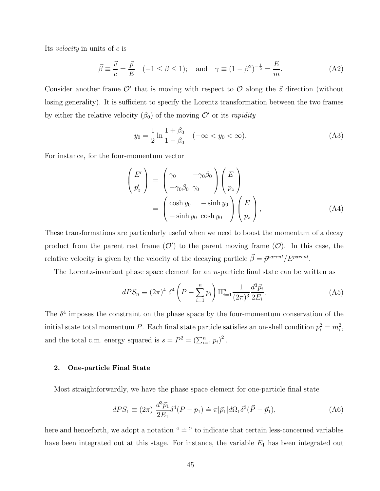Its *velocity* in units of  $c$  is

$$
\vec{\beta} \equiv \frac{\vec{v}}{c} = \frac{\vec{p}}{E} \quad (-1 \le \beta \le 1); \quad \text{and} \quad \gamma \equiv (1 - \beta^2)^{-\frac{1}{2}} = \frac{E}{m}.
$$
 (A2)

Consider another frame  $\mathcal{O}'$  that is moving with respect to  $\mathcal O$  along the  $\vec{z}$  direction (without losing generality). It is sufficient to specify the Lorentz transformation between the two frames by either the relative velocity  $(\beta_0)$  of the moving  $\mathcal{O}'$  or its rapidity

$$
y_0 = \frac{1}{2} \ln \frac{1 + \beta_0}{1 - \beta_0} \quad (-\infty < y_0 < \infty). \tag{A3}
$$

For instance, for the four-momentum vector

$$
\begin{pmatrix}\nE' \\
p'_z\n\end{pmatrix} = \begin{pmatrix}\n\gamma_0 & -\gamma_0 \beta_0 \\
-\gamma_0 \beta_0 & \gamma_0\n\end{pmatrix} \begin{pmatrix}\nE \\
p_z\n\end{pmatrix} \\
= \begin{pmatrix}\n\cosh y_0 & -\sinh y_0 \\
-\sinh y_0 & \cosh y_0\n\end{pmatrix} \begin{pmatrix}\nE \\
p_z\n\end{pmatrix},
$$
\n(A4)

These transformations are particularly useful when we need to boost the momentum of a decay product from the parent rest frame  $(\mathcal{O}')$  to the parent moving frame  $(\mathcal{O})$ . In this case, the relative velocity is given by the velocity of the decaying particle  $\vec{\beta} = \vec{p}^{parent}/E^{parent}$ .

The Lorentz-invariant phase space element for an  $n$ -particle final state can be written as

$$
dPS_n \equiv (2\pi)^4 \ \delta^4 \left( P - \sum_{i=1}^n p_i \right) \Pi_{i=1}^n \frac{1}{(2\pi)^3} \frac{d^3 \vec{p}_i}{2E_i}.
$$
 (A5)

The  $\delta^4$  imposes the constraint on the phase space by the four-momentum conservation of the initial state total momentum P. Each final state particle satisfies an on-shell condition  $p_i^2 = m_i^2$ , and the total c.m. energy squared is  $s = P^2 = (\sum_{i=1}^n p_i)^2$ .

### 2. One-particle Final State

Most straightforwardly, we have the phase space element for one-particle final state

$$
dPS_1 \equiv (2\pi) \frac{d^3 \vec{p}_1}{2E_1} \delta^4 (P - p_1) \doteq \pi |\vec{p}_1| d\Omega_1 \delta^3 (\vec{P} - \vec{p}_1), \tag{A6}
$$

here and henceforth, we adopt a notation " $\div$ " to indicate that certain less-concerned variables have been integrated out at this stage. For instance, the variable  $E_1$  has been integrated out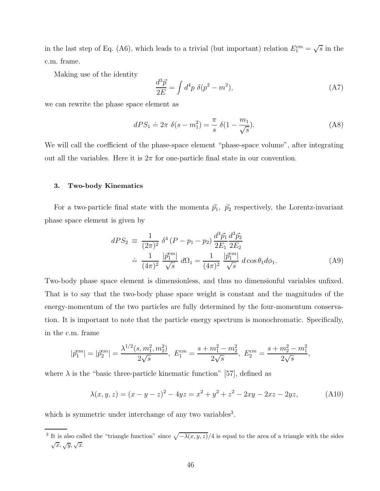in the last step of Eq. (A6), which leads to a trivial (but important) relation  $E_1^{cm} = \sqrt{s}$  in the c.m. frame.

Making use of the identity

$$
\frac{d^3\vec{p}}{2E} = \int d^4p \ \delta(p^2 - m^2),\tag{A7}
$$

we can rewrite the phase space element as

$$
dPS_1 = 2\pi \ \delta(s - m_1^2) = \frac{\pi}{s} \ \delta(1 - \frac{m_1}{\sqrt{s}}). \tag{A8}
$$

We will call the coefficient of the phase-space element "phase-space volume", after integrating out all the variables. Here it is  $2\pi$  for one-particle final state in our convention.

### 3. Two-body Kinematics

For a two-particle final state with the momenta  $\vec{p}_1$ ,  $\vec{p}_2$  respectively, the Lorentz-invariant phase space element is given by

$$
dPS_2 \equiv \frac{1}{(2\pi)^2} \delta^4 (P - p_1 - p_2) \frac{d^3 \vec{p}_1}{2E_1} \frac{d^3 \vec{p}_2}{2E_2}
$$
  

$$
\doteq \frac{1}{(4\pi)^2} \frac{|\vec{p}_1^{cm}|}{\sqrt{s}} d\Omega_1 = \frac{1}{(4\pi)^2} \frac{|\vec{p}_1^{cm}|}{\sqrt{s}} d\cos\theta_1 d\phi_1.
$$
 (A9)

Two-body phase space element is dimensionless, and thus no dimensionful variables unfixed. That is to say that the two-body phase space weight is constant and the magnitudes of the energy-momentum of the two particles are fully determined by the four-momentum conservation. It is important to note that the particle energy spectrum is monochromatic. Specifically, in the c.m. frame

$$
|\bar{p}_1^{cm}| = |\bar{p}_2^{cm}| = \frac{\lambda^{1/2}(s,m_1^2,m_2^2)}{2\sqrt{s}}, E_1^{cm} = \frac{s+m_1^2-m_2^2}{2\sqrt{s}}, E_2^{cm} = \frac{s+m_2^2-m_1^2}{2\sqrt{s}},
$$

where  $\lambda$  is the "basic three-particle kinematic function" [57], defined as

$$
\lambda(x, y, z) = (x - y - z)^2 - 4yz = x^2 + y^2 + z^2 - 2xy - 2xz - 2yz,
$$
\n(A10)

which is symmetric under interchange of any two variables<sup>3</sup>.

<sup>&</sup>lt;sup>3</sup> It is also called the "triangle function" since  $\sqrt{-\lambda(x, y, z)}/4$  is equal to the area of a triangle with the sides  $\sqrt{x}, \sqrt{y}, \sqrt{x}.$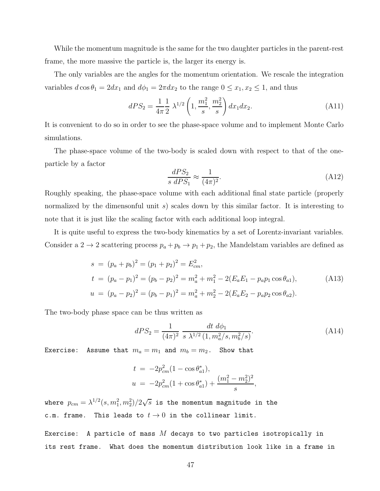While the momentum magnitude is the same for the two daughter particles in the parent-rest frame, the more massive the particle is, the larger its energy is.

The only variables are the angles for the momentum orientation. We rescale the integration variables  $d \cos \theta_1 = 2dx_1$  and  $d\phi_1 = 2\pi dx_2$  to the range  $0 \le x_1, x_2 \le 1$ , and thus

$$
dPS_2 = \frac{1}{4\pi} \frac{1}{2} \lambda^{1/2} \left( 1, \frac{m_1^2}{s}, \frac{m_2^2}{s} \right) dx_1 dx_2.
$$
 (A11)

It is convenient to do so in order to see the phase-space volume and to implement Monte Carlo simulations.

The phase-space volume of the two-body is scaled down with respect to that of the oneparticle by a factor

$$
\frac{dPS_2}{s\;dPS_1} \approx \frac{1}{(4\pi)^2}.\tag{A12}
$$

Roughly speaking, the phase-space volume with each additional final state particle (properly normalized by the dimensonful unit s) scales down by this similar factor. It is interesting to note that it is just like the scaling factor with each additional loop integral.

It is quite useful to express the two-body kinematics by a set of Lorentz-invariant variables. Consider a 2  $\rightarrow$  2 scattering process  $p_a + p_b \rightarrow p_1 + p_2$ , the Mandelstam variables are defined as

$$
s = (p_a + p_b)^2 = (p_1 + p_2)^2 = E_{cm}^2,
$$
  
\n
$$
t = (p_a - p_1)^2 = (p_b - p_2)^2 = m_a^2 + m_1^2 - 2(E_a E_1 - p_a p_1 \cos \theta_{a1}),
$$
  
\n
$$
u = (p_a - p_2)^2 = (p_b - p_1)^2 = m_a^2 + m_2^2 - 2(E_a E_2 - p_a p_2 \cos \theta_{a2}).
$$
\n(A13)

The two-body phase space can be thus written as

$$
dPS_2 = \frac{1}{(4\pi)^2} \frac{dt \ d\phi_1}{s \ \lambda^{1/2} \ (1, m_a^2/s, m_b^2/s)}.
$$
 (A14)

Exercise: Assume that  $m_a = m_1$  and  $m_b = m_2$ . Show that

$$
t = -2p_{cm}^2(1 - \cos \theta_{a1}^*),
$$
  

$$
u = -2p_{cm}^2(1 + \cos \theta_{a1}^*) + \frac{(m_1^2 - m_2^2)^2}{s},
$$

where  $p_{cm}=\lambda^{1/2}(s,m_1^2,m_2^2)/2\sqrt{s}$  is the momentum magnitude in the c.m. frame. This leads to  $t \to 0$  in the collinear limit.

Exercise: A particle of mass  $M$  decays to two particles isotropically in its rest frame. What does the momentum distribution look like in a frame in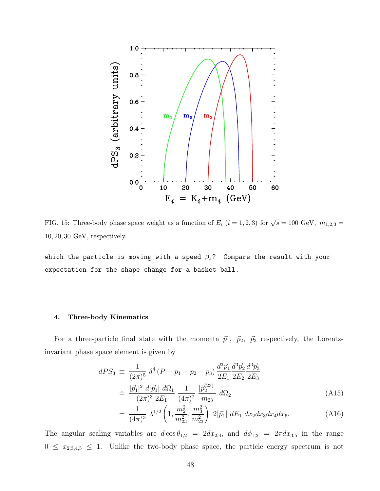

FIG. 15: Three-body phase space weight as a function of  $E_i$   $(i = 1, 2, 3)$  for  $\sqrt{s} = 100 \text{ GeV}, m_{1,2,3} =$ 10, 20, 30 GeV, respectively.

which the particle is moving with a speed  $\beta_z$ ? Compare the result with your expectation for the shape change for a basket ball.

### 4. Three-body Kinematics

For a three-particle final state with the momenta  $\vec{p}_1$ ,  $\vec{p}_2$ ,  $\vec{p}_3$  respectively, the Lorentzinvariant phase space element is given by

$$
dPS_3 \equiv \frac{1}{(2\pi)^5} \delta^4 (P - p_1 - p_2 - p_3) \frac{d^3 \vec{p}_1}{2E_1} \frac{d^3 \vec{p}_2}{2E_2} \frac{d^3 \vec{p}_3}{2E_3}
$$
  

$$
\doteq \frac{|\vec{p}_1|^2 d|\vec{p}_1| d\Omega_1}{(2\pi)^3 2E_1} \frac{1}{(4\pi)^2} \frac{|\vec{p}_2^{(23)}|}{m_{23}} d\Omega_2
$$
(A15)

$$
= \frac{1}{(4\pi)^3} \; \lambda^{1/2} \left( 1, \frac{m_2^2}{m_{23}^2}, \frac{m_3^2}{m_{23}^2} \right) \; 2|\vec{p}_1| \; dE_1 \; dx_2 dx_3 dx_4 dx_5. \tag{A16}
$$

The angular scaling variables are  $d \cos \theta_{1,2} = 2dx_{2,4}$ , and  $d\phi_{1,2} = 2\pi dx_{3,5}$  in the range  $0 \leq x_{2,3,4,5} \leq 1$ . Unlike the two-body phase space, the particle energy spectrum is not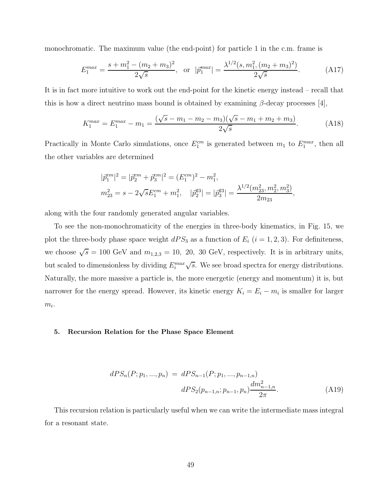monochromatic. The maximum value (the end-point) for particle 1 in the c.m. frame is

$$
E_1^{max} = \frac{s + m_1^2 - (m_2 + m_3)^2}{2\sqrt{s}}, \text{ or } |\vec{p}_1^{max}| = \frac{\lambda^{1/2}(s, m_1^2, (m_2 + m_3)^2)}{2\sqrt{s}}.
$$
 (A17)

It is in fact more intuitive to work out the end-point for the kinetic energy instead – recall that this is how a direct neutrino mass bound is obtained by examining  $\beta$ -decay processes [4],

$$
K_1^{max} = E_1^{max} - m_1 = \frac{(\sqrt{s} - m_1 - m_2 - m_3)(\sqrt{s} - m_1 + m_2 + m_3)}{2\sqrt{s}}.
$$
 (A18)

Practically in Monte Carlo simulations, once  $E_1^{cm}$  is generated between  $m_1$  to  $E_1^{max}$ , then all the other variables are determined

$$
\begin{aligned} |\vec p_1^{cm}|^2 &= |\vec p_2^{cm} + \vec p_3^{cm}|^2 = (E_1^{cm})^2 - m_1^2, \\ m_{23}^2 &= s - 2\sqrt{s}E_1^{cm} + m_1^2, \quad |\vec p_2^{23}| = |\vec p_3^{23}| = \frac{\lambda^{1/2}(m_{23}^2, m_2^2, m_3^2)}{2m_{23}}, \end{aligned}
$$

along with the four randomly generated angular variables.

To see the non-monochromaticity of the energies in three-body kinematics, in Fig. 15, we plot the three-body phase space weight  $dPS_3$  as a function of  $E_i$   $(i = 1, 2, 3)$ . For definiteness, we choose  $\sqrt{s} = 100 \text{ GeV}$  and  $m_{1,2,3} = 10$ , 20, 30 GeV, respectively. It is in arbitrary units, but scaled to dimensionless by dividing  $E_i^{max}\sqrt{s}$ . We see broad spectra for energy distributions. Naturally, the more massive a particle is, the more energetic (energy and momentum) it is, but narrower for the energy spread. However, its kinetic energy  $K_i = E_i - m_i$  is smaller for larger  $m_i$ .

### 5. Recursion Relation for the Phase Space Element

$$
dPS_n(P; p_1, ..., p_n) = dPS_{n-1}(P; p_1, ..., p_{n-1,n})
$$

$$
dPS_2(p_{n-1,n}; p_{n-1}, p_n) \frac{dm_{n-1,n}^2}{2\pi}.
$$
(A19)

This recursion relation is particularly useful when we can write the intermediate mass integral for a resonant state.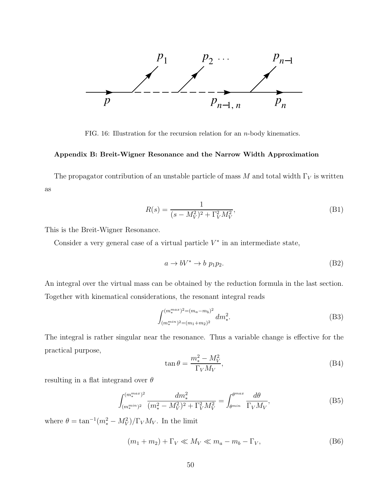

FIG. 16: Illustration for the recursion relation for an n-body kinematics.

### Appendix B: Breit-Wigner Resonance and the Narrow Width Approximation

The propagator contribution of an unstable particle of mass M and total width  $\Gamma_V$  is written as

$$
R(s) = \frac{1}{(s - M_V^2)^2 + \Gamma_V^2 M_V^2},\tag{B1}
$$

This is the Breit-Wigner Resonance.

Consider a very general case of a virtual particle  $V^*$  in an intermediate state,

$$
a \to bV^* \to b \, p_1 p_2. \tag{B2}
$$

An integral over the virtual mass can be obtained by the reduction formula in the last section. Together with kinematical considerations, the resonant integral reads

$$
\int_{(m_*^{min})^2 = (m_1 + m_2)^2}^{(m_*^{max})^2 = (m_a - m_b)^2} dm_*^2.
$$
\n(B3)

The integral is rather singular near the resonance. Thus a variable change is effective for the practical purpose,

$$
\tan \theta = \frac{m_*^2 - M_V^2}{\Gamma_V M_V},\tag{B4}
$$

resulting in a flat integrand over  $\theta$ 

$$
\int_{(m_{*}^{min})^2}^{(m_{*}^{max})^2} \frac{dm_{*}^2}{(m_{*}^2 - M_V^2)^2 + \Gamma_V^2 M_V^2} = \int_{\theta^{min}}^{\theta^{max}} \frac{d\theta}{\Gamma_V M_V},
$$
(B5)

where  $\theta = \tan^{-1}(m_{*}^{2} - M_{V}^{2})/\Gamma_{V}M_{V}$ . In the limit

 $(m_1 + m_2) + \Gamma_V \ll M_V \ll m_a - m_b - \Gamma_V,$  (B6)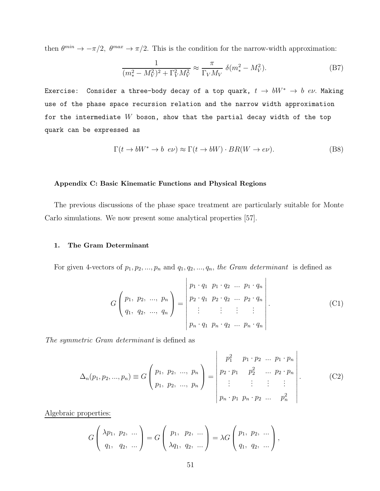then  $\theta^{min} \to -\pi/2$ ,  $\theta^{max} \to \pi/2$ . This is the condition for the narrow-width approximation:

$$
\frac{1}{(m_{*}^{2} - M_{V}^{2})^{2} + \Gamma_{V}^{2} M_{V}^{2}} \approx \frac{\pi}{\Gamma_{V} M_{V}} \delta(m_{*}^{2} - M_{V}^{2}).
$$
 (B7)

Exercise: Consider a three-body decay of a top quark,  $t \to bW^* \to b \text{ }ev$ . Making use of the phase space recursion relation and the narrow width approximation for the intermediate  $W$  boson, show that the partial decay width of the top quark can be expressed as

$$
\Gamma(t \to bW^* \to b \, e\nu) \approx \Gamma(t \to bW) \cdot BR(W \to e\nu). \tag{B8}
$$

### Appendix C: Basic Kinematic Functions and Physical Regions

The previous discussions of the phase space treatment are particularly suitable for Monte Carlo simulations. We now present some analytical properties [57].

### 1. The Gram Determinant

For given 4-vectors of  $p_1, p_2, ..., p_n$  and  $q_1, q_2, ..., q_n$ , the Gram determinant is defined as

$$
G\left(\begin{array}{cccc}\np_1, p_2, ..., p_n \\
q_1, q_2, ..., q_n\n\end{array}\right) = \begin{vmatrix}\np_1 \cdot q_1 & p_1 \cdot q_2 & \dots & p_1 \cdot q_n \\
p_2 \cdot q_1 & p_2 \cdot q_2 & \dots & p_2 \cdot q_n \\
\vdots & \vdots & \vdots & \vdots \\
p_n \cdot q_1 & p_n \cdot q_2 & \dots & p_n \cdot q_n\n\end{vmatrix}.
$$
\n(C1)

The symmetric Gram determinant is defined as

$$
\Delta_n(p_1, p_2, ..., p_n) \equiv G \begin{pmatrix} p_1, p_2, ..., p_n \\ p_1, p_2, ..., p_n \end{pmatrix} = \begin{pmatrix} p_1^2 & p_1 \cdot p_2 & ... & p_1 \cdot p_n \\ p_2 \cdot p_1 & p_2^2 & ... & p_2 \cdot p_n \\ \vdots & \vdots & \vdots & \vdots \\ p_n \cdot p_1 & p_n \cdot p_2 & ... & p_n^2 \end{pmatrix} .
$$
 (C2)

Algebraic properties:

$$
G\left(\begin{array}{cccc} \lambda p_1, & p_2, & \dots \\ q_1, & q_2, & \dots \end{array}\right) = G\left(\begin{array}{cccc} p_1, & p_2, & \dots \\ \lambda q_1, & q_2, & \dots \end{array}\right) = \lambda G\left(\begin{array}{cccc} p_1, & p_2, & \dots \\ q_1, & q_2, & \dots \end{array}\right),
$$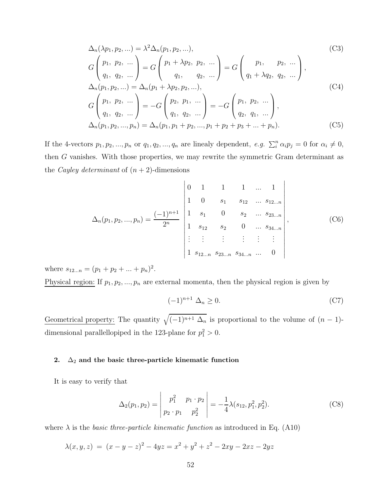$$
\Delta_n(\lambda p_1, p_2, \dots) = \lambda^2 \Delta_n(p_1, p_2, \dots),
$$
\n
$$
G\begin{pmatrix} p_1, p_2, \dots \\ q_1, q_2, \dots \end{pmatrix} = G\begin{pmatrix} p_1 + \lambda p_2, p_2, \dots \\ q_1, q_2, \dots \end{pmatrix} = G\begin{pmatrix} p_1, p_2, \dots \\ q_1 + \lambda q_2, q_2, \dots \end{pmatrix},
$$
\n
$$
\Delta_n(p_1, p_2, \dots) = \Delta_n(p_1 + \lambda p_2, p_2, \dots),
$$
\n
$$
G\begin{pmatrix} p_1, p_2, \dots \\ q_1, q_2, \dots \end{pmatrix} = -G\begin{pmatrix} p_2, p_1, \dots \\ q_1, q_2, \dots \end{pmatrix} = -G\begin{pmatrix} p_1, p_2, \dots \\ q_2, q_1, \dots \end{pmatrix},
$$
\n
$$
\Delta_n(p_1, p_2, \dots, p_n) = \Delta_n(p_1, p_1 + p_2, \dots, p_1 + p_2 + p_3 + \dots + p_n).
$$
\n(C5)

If the 4-vectors  $p_1, p_2, ..., p_n$  or  $q_1, q_2, ..., q_n$  are linealy dependent, e.g.  $\sum_i^n \alpha_i p_j = 0$  for  $\alpha_i \neq 0$ , then G vanishes. With those properties, we may rewrite the symmetric Gram determinant as the Cayley determinant of  $(n + 2)$ -dimensions

$$
\Delta_n(p_1, p_2, ..., p_n) = \frac{(-1)^{n+1}}{2^n} \begin{vmatrix} 0 & 1 & 1 & 1 & ... & 1 \\ 1 & 0 & s_1 & s_{12} & ... & s_{12...n} \\ 1 & s_1 & 0 & s_2 & ... & s_{23...n} \\ 1 & s_{12} & s_2 & 0 & ... & s_{34...n} \\ \vdots & \vdots & \vdots & \vdots & \vdots & \vdots \\ 1 & s_{12...n} & s_{23...n} & s_{34...n} & ... & 0 \end{vmatrix},
$$
 (C6)

where  $s_{12...n} = (p_1 + p_2 + ... + p_n)^2$ .

Physical region: If  $p_1, p_2, ..., p_n$  are external momenta, then the physical region is given by

$$
(-1)^{n+1} \Delta_n \ge 0. \tag{C7}
$$

Geometrical property: The quantity  $\sqrt{(-1)^{n+1} \Delta_n}$  is proportional to the volume of  $(n-1)$ dimensional parallellopiped in the 123-plane for  $p_1^2 > 0$ .

### 2.  $\Delta_2$  and the basic three-particle kinematic function

It is easy to verify that

$$
\Delta_2(p_1, p_2) = \begin{vmatrix} p_1^2 & p_1 \cdot p_2 \\ p_2 \cdot p_1 & p_2^2 \end{vmatrix} = -\frac{1}{4}\lambda(s_{12}, p_1^2, p_2^2).
$$
 (C8)

where  $\lambda$  is the *basic three-particle kinematic function* as introduced in Eq. (A10)

 $\lambda(x, y, z) = (x - y - z)^2 - 4yz = x^2 + y^2 + z^2 - 2xy - 2xz - 2yz$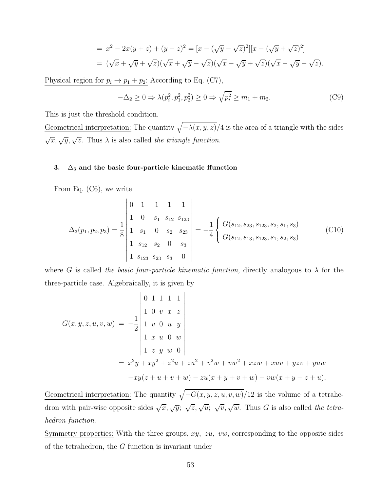$$
= x2 - 2x(y + z) + (y - z)2 = [x - (\sqrt{y} - \sqrt{z})2][x - (\sqrt{y} + \sqrt{z})2]= (\sqrt{x} + \sqrt{y} + \sqrt{z})(\sqrt{x} + \sqrt{y} - \sqrt{z})(\sqrt{x} - \sqrt{y} + \sqrt{z})(\sqrt{x} - \sqrt{y} - \sqrt{z}).
$$

Physical region for  $p_i \rightarrow p_1 + p_2$ : According to Eq. (C7),

$$
-\Delta_2 \ge 0 \Rightarrow \lambda(p_i^2, p_1^2, p_2^2) \ge 0 \Rightarrow \sqrt{p_i^2} \ge m_1 + m_2.
$$
 (C9)

This is just the threshold condition.

Geometrical interpretation: The quantity  $\sqrt{-\lambda(x, y, z)}/4$  is the area of a triangle with the sides  $\sqrt{x}, \sqrt{y}, \sqrt{z}$ . Thus  $\lambda$  is also called the triangle function.

### 3.  $\Delta_3$  and the basic four-particle kinematic ffunction

From Eq. (C6), we write

$$
\Delta_3(p_1, p_2, p_3) = \frac{1}{8} \begin{vmatrix} 0 & 1 & 1 & 1 & 1 \\ 1 & 0 & s_1 & s_{12} & s_{123} \\ 1 & s_1 & 0 & s_2 & s_{23} \\ 1 & s_{12} & s_2 & 0 & s_3 \\ 1 & s_{123} & s_{23} & s_3 & 0 \end{vmatrix} = -\frac{1}{4} \begin{cases} G(s_{12}, s_{23}, s_{123}, s_2, s_1, s_3) \\ G(s_{12}, s_{13}, s_{123}, s_1, s_2, s_3) \end{cases}
$$
(C10)

where G is called the basic four-particle kinematic function, directly analogous to  $\lambda$  for the three-particle case. Algebraically, it is given by

$$
G(x, y, z, u, v, w) = -\frac{1}{2} \begin{vmatrix} 0 & 1 & 1 & 1 & 1 \\ 1 & 0 & v & x & z \\ 1 & v & 0 & u & y \\ 1 & x & u & 0 & w \\ 1 & z & y & w & 0 \end{vmatrix}
$$
  
=  $x^2y + xy^2 + z^2u + zu^2 + v^2w + vw^2 + xzw + xuv + yzv + yuw$   
=  $xy(z + u + v + w) - zu(x + y + v + w) - vw(x + y + z + u).$ 

Geometrical interpretation: The quantity  $\sqrt{-G(x, y, z, u, v, w)}/12$  is the volume of a tetrahedron with pair-wise opposite sides  $\sqrt{x}, \sqrt{y}$ ;  $\sqrt{z}, \sqrt{u}$ ;  $\sqrt{v}, \sqrt{w}$ . Thus G is also called the tetrahedron function.

Symmetry properties: With the three groups,  $xy$ ,  $zu$ ,  $vw$ , corresponding to the opposite sides of the tetrahedron, the G function is invariant under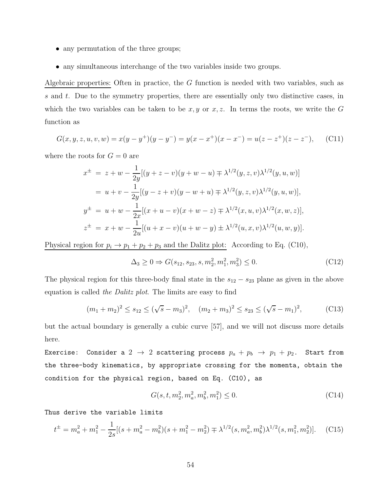- any permutation of the three groups;
- any simultaneous interchange of the two variables inside two groups.

Algebraic properties: Often in practice, the G function is needed with two variables, such as s and t. Due to the symmetry properties, there are essentially only two distinctive cases, in which the two variables can be taken to be  $x, y$  or  $x, z$ . In terms the roots, we write the G function as

$$
G(x, y, z, u, v, w) = x(y - y^{+})(y - y^{-}) = y(x - x^{+})(x - x^{-}) = u(z - z^{+})(z - z^{-}),
$$
 (C11)

where the roots for  $G = 0$  are

$$
x^{\pm} = z + w - \frac{1}{2y} [(y + z - v)(y + w - u) \mp \lambda^{1/2} (y, z, v) \lambda^{1/2} (y, u, w)]
$$
  
\n
$$
= u + v - \frac{1}{2y} [(y - z + v)(y - w + u) \mp \lambda^{1/2} (y, z, v) \lambda^{1/2} (y, u, w)],
$$
  
\n
$$
y^{\pm} = u + w - \frac{1}{2x} [(x + u - v)(x + w - z) \mp \lambda^{1/2} (x, u, v) \lambda^{1/2} (x, w, z)],
$$
  
\n
$$
z^{\pm} = x + w - \frac{1}{2u} [(u + x - v)(u + w - y) \pm \lambda^{1/2} (u, x, v) \lambda^{1/2} (u, w, y)].
$$

Physical region for  $p_i \to p_1 + p_2 + p_3$  and the Dalitz plot: According to Eq. (C10),

$$
\Delta_3 \ge 0 \Rightarrow G(s_{12}, s_{23}, s, m_2^2, m_1^2, m_3^2) \le 0. \tag{C12}
$$

The physical region for this three-body final state in the  $s_{12} - s_{23}$  plane as given in the above equation is called the Dalitz plot. The limits are easy to find

$$
(m_1 + m_2)^2 \le s_{12} \le (\sqrt{s} - m_3)^2, \quad (m_2 + m_3)^2 \le s_{23} \le (\sqrt{s} - m_1)^2,
$$
 (C13)

but the actual boundary is generally a cubic curve [57], and we will not discuss more details here.

Exercise: Consider a 2  $\rightarrow$  2 scattering process  $p_a + p_b \rightarrow p_1 + p_2$ . Start from the three-body kinematics, by appropriate crossing for the momenta, obtain the condition for the physical region, based on Eq. (C10), as

$$
G(s, t, m_2^2, m_a^2, m_b^2, m_1^2) \le 0. \tag{C14}
$$

Thus derive the variable limits

$$
t^{\pm} = m_a^2 + m_1^2 - \frac{1}{2s} [(s + m_a^2 - m_b^2)(s + m_1^2 - m_2^2) \mp \lambda^{1/2} (s, m_a^2, m_b^2) \lambda^{1/2} (s, m_1^2, m_2^2)]. \tag{C15}
$$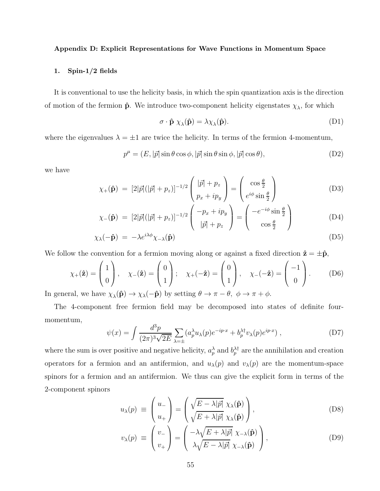### Appendix D: Explicit Representations for Wave Functions in Momentum Space

### 1. Spin-1/2 fields

It is conventional to use the helicity basis, in which the spin quantization axis is the direction of motion of the fermion  $\hat{p}$ . We introduce two-component helicity eigenstates  $\chi_{\lambda}$ , for which

$$
\sigma \cdot \hat{\mathbf{p}} \ \chi_{\lambda}(\hat{\mathbf{p}}) = \lambda \chi_{\lambda}(\hat{\mathbf{p}}). \tag{D1}
$$

where the eigenvalues  $\lambda = \pm 1$  are twice the helicity. In terms of the fermion 4-momentum,

$$
p^{\mu} = (E, |\vec{p}| \sin \theta \cos \phi, |\vec{p}| \sin \theta \sin \phi, |\vec{p}| \cos \theta), \tag{D2}
$$

we have

$$
\chi_{+}(\hat{\mathbf{p}}) = [2|\vec{p}|(|\vec{p}| + p_z)]^{-1/2} \begin{pmatrix} |\vec{p}| + p_z \\ p_x + ip_y \end{pmatrix} = \begin{pmatrix} \cos\frac{\theta}{2} \\ e^{i\phi}\sin\frac{\theta}{2} \end{pmatrix}
$$
(D3)

$$
\chi_{-}(\hat{\mathbf{p}}) = [2|\vec{p}|(|\vec{p}| + p_z)]^{-1/2} \begin{pmatrix} -p_x + ip_y \\ |\vec{p}| + p_z \end{pmatrix} = \begin{pmatrix} -e^{-i\phi}\sin\frac{\theta}{2} \\ \cos\frac{\theta}{2} \end{pmatrix}
$$
(D4)

$$
\chi_{\lambda}(-\hat{\mathbf{p}}) = -\lambda e^{i\lambda \phi} \chi_{-\lambda}(\hat{\mathbf{p}})
$$
 (D5)

We follow the convention for a fermion moving along or against a fixed direction  $\hat{z} = \pm \hat{p}$ ,

$$
\chi_{+}(\hat{\mathbf{z}}) = \begin{pmatrix} 1 \\ 0 \end{pmatrix}, \quad \chi_{-}(\hat{\mathbf{z}}) = \begin{pmatrix} 0 \\ 1 \end{pmatrix}; \quad \chi_{+}(-\hat{\mathbf{z}}) = \begin{pmatrix} 0 \\ 1 \end{pmatrix}, \quad \chi_{-}(-\hat{\mathbf{z}}) = \begin{pmatrix} -1 \\ 0 \end{pmatrix}.
$$
 (D6)

In general, we have  $\chi_{\lambda}(\hat{\mathbf{p}}) \to \chi_{\lambda}(-\hat{\mathbf{p}})$  by setting  $\theta \to \pi - \theta$ ,  $\phi \to \pi + \phi$ .

The 4-component free fermion field may be decomposed into states of definite fourmomentum,

$$
\psi(x) = \int \frac{d^3p}{(2\pi)^3 \sqrt{2E}} \sum_{\lambda = \pm} (a_p^{\lambda} u_{\lambda}(p) e^{-ip \cdot x} + b_p^{\lambda \dagger} v_{\lambda}(p) e^{ip \cdot x}), \tag{D7}
$$

where the sum is over positive and negative helicity,  $a_p^{\lambda}$  and  $b_p^{\lambda\dagger}$  are the annihilation and creation operators for a fermion and an antifermion, and  $u_{\lambda}(p)$  and  $v_{\lambda}(p)$  are the momentum-space spinors for a fermion and an antifermion. We thus can give the explicit form in terms of the 2-component spinors

$$
u_{\lambda}(p) \equiv \begin{pmatrix} u_{-} \\ u_{+} \end{pmatrix} = \begin{pmatrix} \sqrt{E - \lambda |\vec{p}|} \ \chi_{\lambda}(\hat{\mathbf{p}}) \\ \sqrt{E + \lambda |\vec{p}|} \ \chi_{\lambda}(\hat{\mathbf{p}}) \end{pmatrix},\tag{D8}
$$

$$
v_{\lambda}(p) \equiv \begin{pmatrix} v_{-} \\ v_{+} \end{pmatrix} = \begin{pmatrix} -\lambda \sqrt{E + \lambda |\vec{p}|} \ \chi_{-\lambda}(\hat{\mathbf{p}}) \\ \lambda \sqrt{E - \lambda |\vec{p}|} \ \chi_{-\lambda}(\hat{\mathbf{p}}) \end{pmatrix},\tag{D9}
$$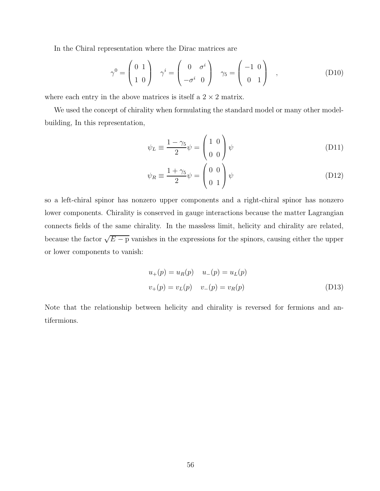In the Chiral representation where the Dirac matrices are

$$
\gamma^0 = \begin{pmatrix} 0 & 1 \\ 1 & 0 \end{pmatrix} \quad \gamma^i = \begin{pmatrix} 0 & \sigma^i \\ -\sigma^i & 0 \end{pmatrix} \quad \gamma_5 = \begin{pmatrix} -1 & 0 \\ 0 & 1 \end{pmatrix} \quad , \tag{D10}
$$

where each entry in the above matrices is itself a  $2 \times 2$  matrix.

We used the concept of chirality when formulating the standard model or many other modelbuilding, In this representation,

$$
\psi_L \equiv \frac{1 - \gamma_5}{2} \psi = \begin{pmatrix} 1 & 0 \\ 0 & 0 \end{pmatrix} \psi \tag{D11}
$$

$$
\psi_R \equiv \frac{1+\gamma_5}{2} \psi = \begin{pmatrix} 0 & 0 \\ 0 & 1 \end{pmatrix} \psi \tag{D12}
$$

so a left-chiral spinor has nonzero upper components and a right-chiral spinor has nonzero lower components. Chirality is conserved in gauge interactions because the matter Lagrangian connects fields of the same chirality. In the massless limit, helicity and chirality are related, because the factor  $\sqrt{E - p}$  vanishes in the expressions for the spinors, causing either the upper or lower components to vanish:

$$
u_{+}(p) = u_{R}(p) \t u_{-}(p) = u_{L}(p)
$$
  

$$
v_{+}(p) = v_{L}(p) \t v_{-}(p) = v_{R}(p)
$$
 (D13)

Note that the relationship between helicity and chirality is reversed for fermions and antifermions.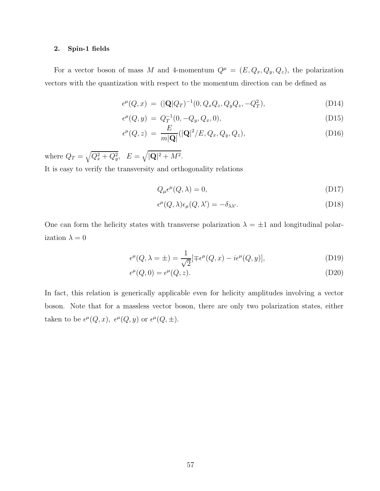### 2. Spin-1 fields

For a vector boson of mass M and 4-momentum  $Q^{\mu} = (E, Q_x, Q_y, Q_z)$ , the polarization vectors with the quantization with respect to the momentum direction can be defined as

$$
\epsilon^{\mu}(Q, x) = (|\mathbf{Q}|Q_T)^{-1}(0, Q_x Q_z, Q_y Q_z, -Q_T^2), \tag{D14}
$$

$$
\epsilon^{\mu}(Q, y) = Q_T^{-1}(0, -Q_y, Q_x, 0), \tag{D15}
$$

$$
\epsilon^{\mu}(Q, z) = \frac{E}{m|\mathbf{Q}|}(|\mathbf{Q}|^2 / E, Q_x, Q_y, Q_z), \tag{D16}
$$

where  $Q_T = \sqrt{Q_x^2 + Q_y^2}$ ,  $E = \sqrt{|\mathbf{Q}|^2 + M^2}$ .

It is easy to verify the transversity and orthogonality relations

$$
Q_{\mu}\epsilon^{\mu}(Q,\lambda) = 0,\tag{D17}
$$

$$
\epsilon^{\mu}(Q,\lambda)\epsilon_{\mu}(Q,\lambda') = -\delta_{\lambda\lambda'}.\tag{D18}
$$

One can form the helicity states with transverse polarization  $\lambda = \pm 1$  and longitudinal polarization  $\lambda = 0$ 

$$
\epsilon^{\mu}(Q, \lambda = \pm) = \frac{1}{\sqrt{2}} [\mp \epsilon^{\mu}(Q, x) - i\epsilon^{\mu}(Q, y)], \qquad (D19)
$$

$$
\epsilon^{\mu}(Q,0) = \epsilon^{\mu}(Q,z). \tag{D20}
$$

In fact, this relation is generically applicable even for helicity amplitudes involving a vector boson. Note that for a massless vector boson, there are only two polarization states, either taken to be  $\epsilon^{\mu}(Q, x)$ ,  $\epsilon^{\mu}(Q, y)$  or  $\epsilon^{\mu}(Q, \pm)$ .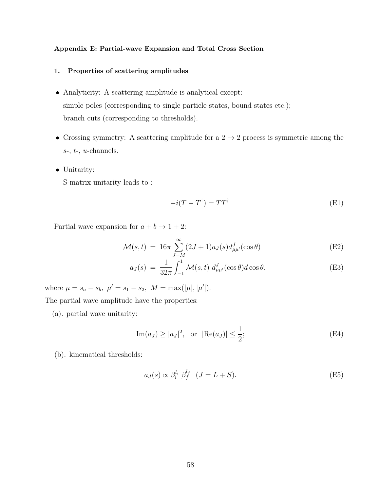### Appendix E: Partial-wave Expansion and Total Cross Section

### 1. Properties of scattering amplitudes

- Analyticity: A scattering amplitude is analytical except: simple poles (corresponding to single particle states, bound states etc.); branch cuts (corresponding to thresholds).
- Crossing symmetry: A scattering amplitude for a  $2 \rightarrow 2$  process is symmetric among the  $s$ -,  $t$ -,  $u$ -channels.
- Unitarity:

S-matrix unitarity leads to :

$$
-i(T - T^{\dagger}) = TT^{\dagger}
$$
 (E1)

Partial wave expansion for  $a + b \rightarrow 1 + 2$ :

$$
\mathcal{M}(s,t) = 16\pi \sum_{J=M}^{\infty} (2J+1)a_J(s)d_{\mu\mu'}^J(\cos\theta)
$$
 (E2)

$$
a_J(s) = \frac{1}{32\pi} \int_{-1}^1 \mathcal{M}(s, t) d^J_{\mu\mu'}(\cos\theta) d\cos\theta.
$$
 (E3)

where  $\mu = s_a - s_b$ ,  $\mu' = s_1 - s_2$ ,  $M = \max(|\mu|, |\mu'|)$ .

The partial wave amplitude have the properties:

(a). partial wave unitarity:

$$
\operatorname{Im}(a_J) \ge |a_J|^2, \quad \text{or} \quad |\operatorname{Re}(a_J)| \le \frac{1}{2};\tag{E4}
$$

(b). kinematical thresholds:

$$
a_J(s) \propto \beta_i^{l_i} \beta_f^{l_f} \quad (J = L + S). \tag{E5}
$$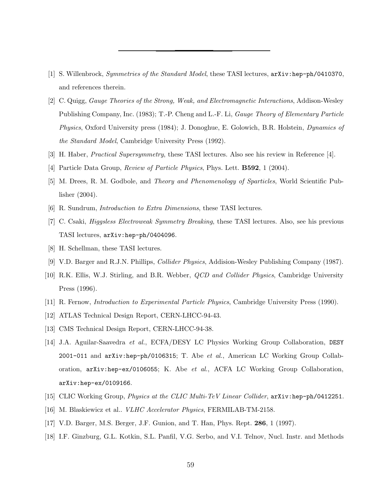- [1] S. Willenbrock, Symmetries of the Standard Model, these TASI lectures,  $arXiv:hep-ph/0410370$ , and references therein.
- [2] C. Quigg, Gauge Theories of the Strong, Weak, and Electromagnetic Interactions, Addison-Wesley Publishing Company, Inc. (1983); T.-P. Cheng and L.-F. Li, Gauge Theory of Elementary Particle Physics, Oxford University press (1984); J. Donoghue, E. Golowich, B.R. Holstein, Dynamics of the Standard Model, Cambridge University Press (1992).
- [3] H. Haber, Practical Supersymmetry, these TASI lectures. Also see his review in Reference [4].
- [4] Particle Data Group, Review of Particle Physics, Phys. Lett. B592, 1 (2004).
- [5] M. Drees, R. M. Godbole, and Theory and Phenomenology of Sparticles, World Scientific Publisher (2004).
- [6] R. Sundrum, Introduction to Extra Dimensions, these TASI lectures.
- [7] C. Csaki, Higgsless Electroweak Symmetry Breaking, these TASI lectures. Also, see his previous TASI lectures, arXiv:hep-ph/0404096.
- [8] H. Schellman, these TASI lectures.
- [9] V.D. Barger and R.J.N. Phillips, Collider Physics, Addision-Wesley Publishing Company (1987).
- [10] R.K. Ellis, W.J. Stirling, and B.R. Webber, QCD and Collider Physics, Cambridge University Press (1996).
- [11] R. Fernow, Introduction to Experimental Particle Physics, Cambridge University Press (1990).
- [12] ATLAS Technical Design Report, CERN-LHCC-94-43.
- [13] CMS Technical Design Report, CERN-LHCC-94-38.
- [14] J.A. Aguilar-Saavedra et al., ECFA/DESY LC Physics Working Group Collaboration, DESY 2001-011 and arXiv:hep-ph/0106315; T. Abe et al., American LC Working Group Collaboration, arXiv:hep-ex/0106055; K. Abe et al., ACFA LC Working Group Collaboration, arXiv:hep-ex/0109166.
- [15] CLIC Working Group, *Physics at the CLIC Multi-TeV Linear Collider*,  $arXiv:hep-ph/0412251$ .
- [16] M. Blaskiewicz et al.. VLHC Accelerator Physics, FERMILAB-TM-2158.
- [17] V.D. Barger, M.S. Berger, J.F. Gunion, and T. Han, Phys. Rept. 286, 1 (1997).
- [18] I.F. Ginzburg, G.L. Kotkin, S.L. Panfil, V.G. Serbo, and V.I. Telnov, Nucl. Instr. and Methods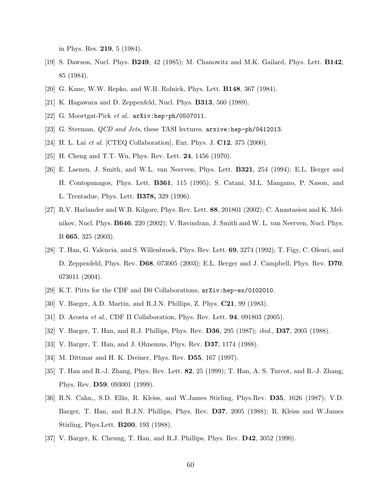in Phys. Res. 219, 5 (1984).

- [19] S. Dawson, Nucl. Phys. B249, 42 (1985); M. Chanowitz and M.K. Gailard, Phys. Lett. B142, 85 (1984).
- [20] G. Kane, W.W. Repko, and W.B. Rolnick, Phys. Lett. B148, 367 (1984).
- [21] K. Hagawara and D. Zeppenfeld, Nucl. Phys. B313, 560 (1989).
- [22] G. Moortgat-Pick et al.. arXiv:hep-ph/0507011.
- [23] G. Sterman, *QCD and Jets*, these TASI lectures. arxive:hep-ph/0412013.
- [24] H. L. Lai et al. [CTEQ Collaboration], Eur. Phys. J. **C12**, 375 (2000).
- [25] H. Cheng and T.T. Wu, Phys. Rev. Lett. 24, 1456 (1970).
- [26] E. Laenen, J. Smith, and W.L. van Neerven, Phys. Lett. B321, 254 (1994); E.L. Berger and H. Contopanagos, Phys. Lett. B361, 115 (1995); S. Catani, M.L. Mangano, P. Nason, and L. Trentadue, Phys. Lett. B378, 329 (1996).
- [27] R.V. Harlander and W.B. Kilgore, Phys. Rev. Lett. 88, 201801 (2002); C. Anastasiou and K. Melnikov, Nucl. Phys. B646, 220 (2002); V. Ravindran, J. Smith and W. L. van Neerven, Nucl. Phys. B 665, 325 (2003).
- [28] T. Han, G. Valencia, and S. Willenbrock, Phys. Rev. Lett. 69, 3274 (1992); T. Figy, C. Oleari, and D. Zeppenfeld, Phys. Rev. D68, 073005 (2003); E.L. Berger and J. Campbell, Phys. Rev. D70, 073011 (2004).
- [29] K.T. Pitts for the CDF and D0 Collaborations, arXiv:hep-ex/0102010.
- [30] V. Barger, A.D. Martin, and R.J.N. Phillips, Z. Phys. C21, 99 (1983).
- [31] D. Acosta et al., CDF II Collaboration, Phys. Rev. Lett. 94, 091803 (2005).
- [32] V. Barger, T. Han, and R.J. Phillips, Phys. Rev. **D36**, 295 (1987); *ibid.*, **D37**, 2005 (1988).
- [33] V. Barger, T. Han, and J. Ohnemus, Phys. Rev. D37, 1174 (1988).
- [34] M. Dittmar and H. K. Dreiner, Phys. Rev. **D55**, 167 (1997).
- [35] T. Han and R.-J. Zhang, Phys. Rev. Lett. 82, 25 (1999); T. Han, A. S. Turcot, and R.-J. Zhang, Phys. Rev. D59, 093001 (1999).
- [36] R.N. Cahn,, S.D. Ellis, R. Kleiss, and W.James Stirling, Phys.Rev. D35, 1626 (1987); V.D. Barger, T. Han, and R.J.N. Phillips, Phys. Rev. D37, 2005 (1988); R. Kleiss and W.James Stirling, Phys.Lett. B200, 193 (1988).
- [37] V. Barger, K. Cheung, T. Han, and R.J. Phillips, Phys. Rev. D42, 3052 (1990).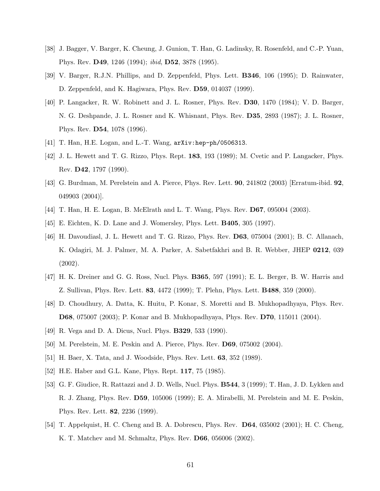- [38] J. Bagger, V. Barger, K. Cheung, J. Gunion, T. Han, G. Ladinsky, R. Rosenfeld, and C.-P. Yuan, Phys. Rev. D49, 1246 (1994); ibid, D52, 3878 (1995).
- [39] V. Barger, R.J.N. Phillips, and D. Zeppenfeld, Phys. Lett. B346, 106 (1995); D. Rainwater, D. Zeppenfeld, and K. Hagiwara, Phys. Rev. D59, 014037 (1999).
- [40] P. Langacker, R. W. Robinett and J. L. Rosner, Phys. Rev. D30, 1470 (1984); V. D. Barger, N. G. Deshpande, J. L. Rosner and K. Whisnant, Phys. Rev. D35, 2893 (1987); J. L. Rosner, Phys. Rev. D54, 1078 (1996).
- [41] T. Han, H.E. Logan, and L.-T. Wang,  $arXiv:hep-ph/0506313$ .
- [42] J. L. Hewett and T. G. Rizzo, Phys. Rept. 183, 193 (1989); M. Cvetic and P. Langacker, Phys. Rev. D42, 1797 (1990).
- [43] G. Burdman, M. Perelstein and A. Pierce, Phys. Rev. Lett. 90, 241802 (2003) [Erratum-ibid. 92, 049903 (2004)].
- [44] T. Han, H. E. Logan, B. McElrath and L. T. Wang, Phys. Rev. D67, 095004 (2003).
- [45] E. Eichten, K. D. Lane and J. Womersley, Phys. Lett. B405, 305 (1997).
- [46] H. Davoudiasl, J. L. Hewett and T. G. Rizzo, Phys. Rev. D63, 075004 (2001); B. C. Allanach, K. Odagiri, M. J. Palmer, M. A. Parker, A. Sabetfakhri and B. R. Webber, JHEP 0212, 039 (2002).
- [47] H. K. Dreiner and G. G. Ross, Nucl. Phys. B365, 597 (1991); E. L. Berger, B. W. Harris and Z. Sullivan, Phys. Rev. Lett. 83, 4472 (1999); T. Plehn, Phys. Lett. B488, 359 (2000).
- [48] D. Choudhury, A. Datta, K. Huitu, P. Konar, S. Moretti and B. Mukhopadhyaya, Phys. Rev. D68, 075007 (2003); P. Konar and B. Mukhopadhyaya, Phys. Rev. D70, 115011 (2004).
- [49] R. Vega and D. A. Dicus, Nucl. Phys. B329, 533 (1990).
- [50] M. Perelstein, M. E. Peskin and A. Pierce, Phys. Rev. D69, 075002 (2004).
- [51] H. Baer, X. Tata, and J. Woodside, Phys. Rev. Lett. 63, 352 (1989).
- [52] H.E. Haber and G.L. Kane, Phys. Rept. 117, 75 (1985).
- [53] G. F. Giudice, R. Rattazzi and J. D. Wells, Nucl. Phys. B544, 3 (1999); T. Han, J. D. Lykken and R. J. Zhang, Phys. Rev. D59, 105006 (1999); E. A. Mirabelli, M. Perelstein and M. E. Peskin, Phys. Rev. Lett. 82, 2236 (1999).
- [54] T. Appelquist, H. C. Cheng and B. A. Dobrescu, Phys. Rev. D64, 035002 (2001); H. C. Cheng, K. T. Matchev and M. Schmaltz, Phys. Rev. D66, 056006 (2002).